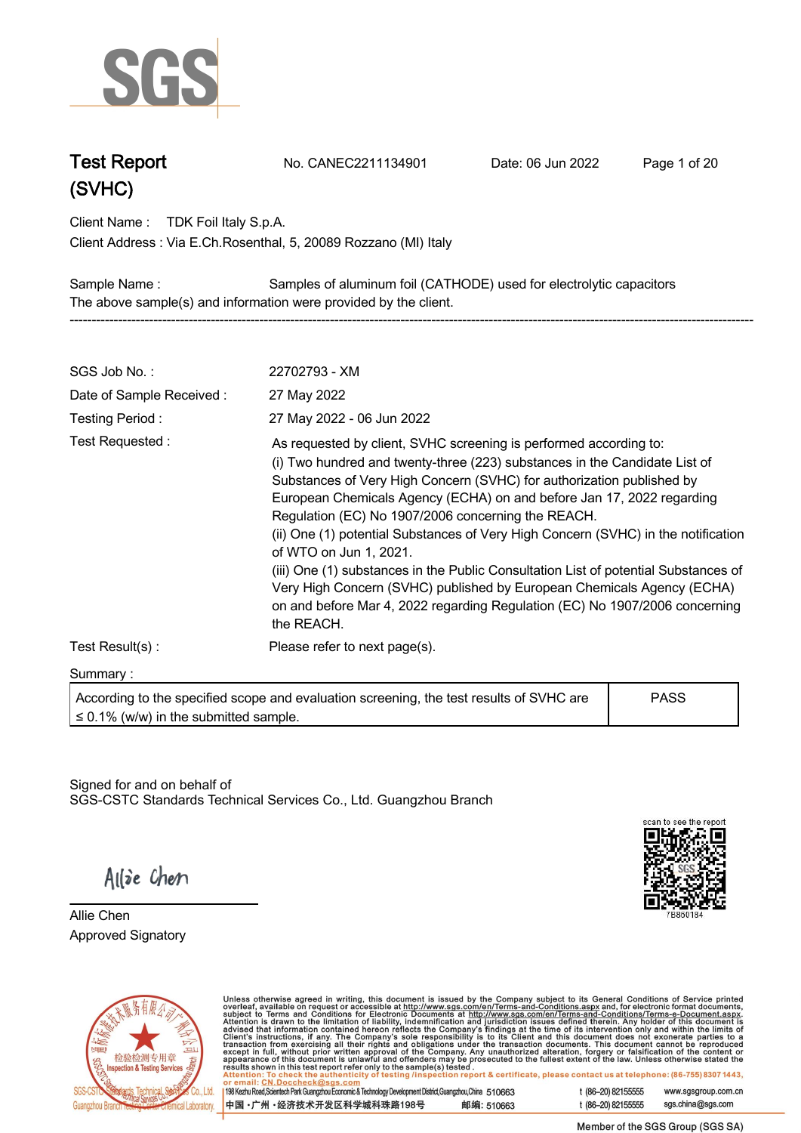

**Test Report. No. CANEC2211134901 . Date: 06 Jun 2022. Page 1 of 20.**

**Client Name : TDK Foil Italy S.p.A. .**

**Via E.Ch.Rosenthal, 5, 20089 Rozzano (MI) Italy . Client Address :**

**Sample Name : Samples of aluminum foil (CATHODE) used for electrolytic capacitors . The above sample(s) and information were provided by the client. -----------------------------------------------------------------------------------------------------------------------------------------------------------**

| SGS Job No.:                               | 22702793 - XM                                                                                                                                                                                                                                                                                                                                                                                                                                                                                                                                                                                                                                                                                                                        |             |  |
|--------------------------------------------|--------------------------------------------------------------------------------------------------------------------------------------------------------------------------------------------------------------------------------------------------------------------------------------------------------------------------------------------------------------------------------------------------------------------------------------------------------------------------------------------------------------------------------------------------------------------------------------------------------------------------------------------------------------------------------------------------------------------------------------|-------------|--|
| Date of Sample Received:                   | 27 May 2022                                                                                                                                                                                                                                                                                                                                                                                                                                                                                                                                                                                                                                                                                                                          |             |  |
| Testing Period:                            | 27 May 2022 - 06 Jun 2022                                                                                                                                                                                                                                                                                                                                                                                                                                                                                                                                                                                                                                                                                                            |             |  |
| Test Requested:                            | As requested by client, SVHC screening is performed according to:<br>(i) Two hundred and twenty-three (223) substances in the Candidate List of<br>Substances of Very High Concern (SVHC) for authorization published by<br>European Chemicals Agency (ECHA) on and before Jan 17, 2022 regarding<br>Regulation (EC) No 1907/2006 concerning the REACH.<br>(ii) One (1) potential Substances of Very High Concern (SVHC) in the notification<br>of WTO on Jun 1, 2021.<br>(iii) One (1) substances in the Public Consultation List of potential Substances of<br>Very High Concern (SVHC) published by European Chemicals Agency (ECHA)<br>on and before Mar 4, 2022 regarding Regulation (EC) No 1907/2006 concerning<br>the REACH. |             |  |
| Test Result(s):                            | Please refer to next page(s).                                                                                                                                                                                                                                                                                                                                                                                                                                                                                                                                                                                                                                                                                                        |             |  |
| Summary:                                   |                                                                                                                                                                                                                                                                                                                                                                                                                                                                                                                                                                                                                                                                                                                                      |             |  |
| $\leq$ 0.1% (w/w) in the submitted sample. | According to the specified scope and evaluation screening, the test results of SVHC are                                                                                                                                                                                                                                                                                                                                                                                                                                                                                                                                                                                                                                              | <b>PASS</b> |  |

Signed for and on behalf of SGS-CSTC Standards Technical Services Co., Ltd. Guangzhou Branch.



Allie Chen

**Allie Chen. Approved Signatory . . .**



Unless otherwise agreed in writing, this document is issued by the Company subject to its General Conditions of Service printed overleaf, available on request or accessible at http://www.sgs.com/en/Terms-and-Conditions.as

198 Kezhu Road, Scientech Park Guangzhou Economic & Technology Development District, Guangzhou, China 510663 中国·广州·经济技术开发区科学城科珠路198号 邮编: 510663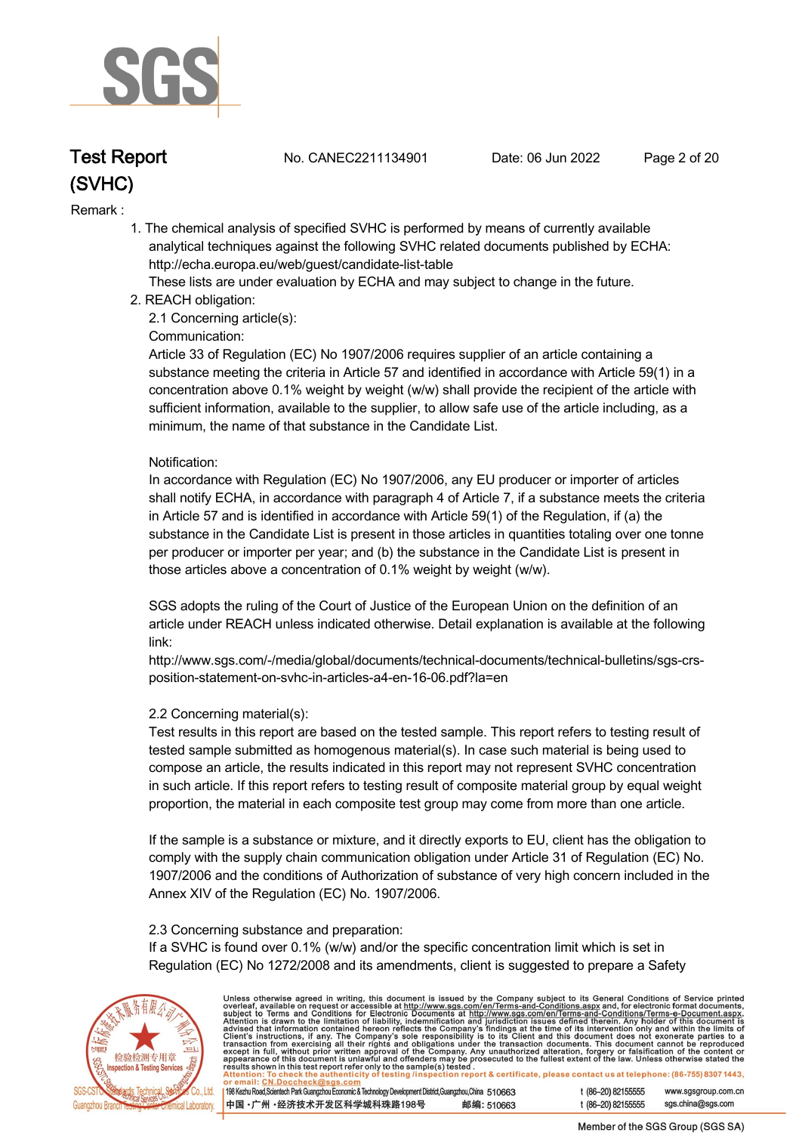

**Test Report. No. CANEC2211134901 . Date: 06 Jun 2022. Page 2 of 20.**

### **Remark :.**

 **1. The chemical analysis of specified SVHC is performed by means of currently available analytical techniques against the following SVHC related documents published by ECHA: http://echa.europa.eu/web/guest/candidate-list-table** 

 **These lists are under evaluation by ECHA and may subject to change in the future.** 

 **2. REACH obligation:** 

 **2.1 Concerning article(s):** 

### **Communication:**

 **Article 33 of Regulation (EC) No 1907/2006 requires supplier of an article containing a substance meeting the criteria in Article 57 and identified in accordance with Article 59(1) in a concentration above 0.1% weight by weight (w/w) shall provide the recipient of the article with sufficient information, available to the supplier, to allow safe use of the article including, as a minimum, the name of that substance in the Candidate List.** 

### **Notification:**

 **In accordance with Regulation (EC) No 1907/2006, any EU producer or importer of articles shall notify ECHA, in accordance with paragraph 4 of Article 7, if a substance meets the criteria in Article 57 and is identified in accordance with Article 59(1) of the Regulation, if (a) the substance in the Candidate List is present in those articles in quantities totaling over one tonne per producer or importer per year; and (b) the substance in the Candidate List is present in those articles above a concentration of 0.1% weight by weight (w/w).** 

 **SGS adopts the ruling of the Court of Justice of the European Union on the definition of an article under REACH unless indicated otherwise. Detail explanation is available at the following link:** 

 **http://www.sgs.com/-/media/global/documents/technical-documents/technical-bulletins/sgs-crs position-statement-on-svhc-in-articles-a4-en-16-06.pdf?la=en** 

### **2.2 Concerning material(s):**

 **Test results in this report are based on the tested sample. This report refers to testing result of tested sample submitted as homogenous material(s). In case such material is being used to compose an article, the results indicated in this report may not represent SVHC concentration in such article. If this report refers to testing result of composite material group by equal weight proportion, the material in each composite test group may come from more than one article.** 

 **If the sample is a substance or mixture, and it directly exports to EU, client has the obligation to comply with the supply chain communication obligation under Article 31 of Regulation (EC) No. 1907/2006 and the conditions of Authorization of substance of very high concern included in the Annex XIV of the Regulation (EC) No. 1907/2006.** 

### **2.3 Concerning substance and preparation:**

 **If a SVHC is found over 0.1% (w/w) and/or the specific concentration limit which is set in Regulation (EC) No 1272/2008 and its amendments, client is suggested to prepare a Safety** 



Unless otherwise agreed in writing, this document is issued by the Company subject to its General Conditions of Service printed<br>overleaf, available on request or accessible at http://www.sgs.com/en/Terms-and-Conditions.as t (86-20) 82155555 www.sgsgroup.com.cn

198 Kezhu Road, Scientech Park Guangzhou Economic & Technology Development District, Guangzhou, China 510663 中国·广州·经济技术开发区科学城科珠路198号 邮编: 510663

t (86-20) 82155555 sas.china@sas.com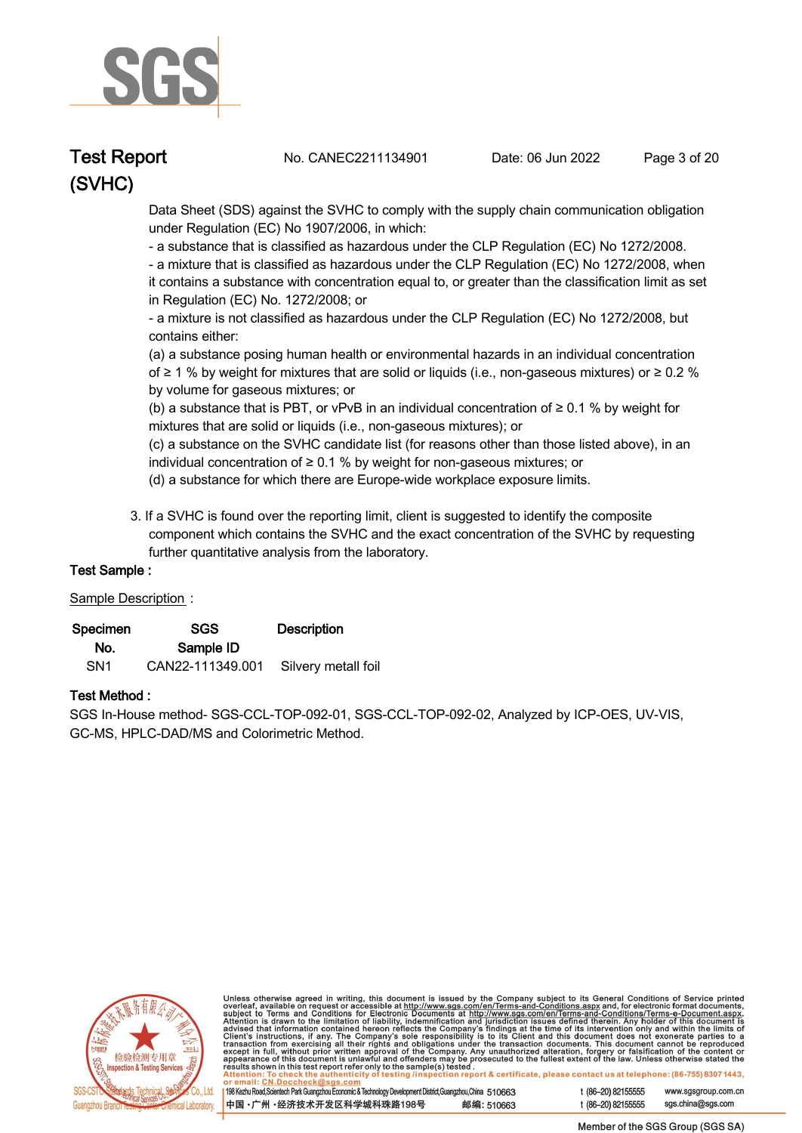

**Test Report. No. CANEC2211134901 . Date: 06 Jun 2022. Page 3 of 20.**

 **Data Sheet (SDS) against the SVHC to comply with the supply chain communication obligation under Regulation (EC) No 1907/2006, in which:** 

 **- a substance that is classified as hazardous under the CLP Regulation (EC) No 1272/2008.** 

 **- a mixture that is classified as hazardous under the CLP Regulation (EC) No 1272/2008, when it contains a substance with concentration equal to, or greater than the classification limit as set in Regulation (EC) No. 1272/2008; or** 

 **- a mixture is not classified as hazardous under the CLP Regulation (EC) No 1272/2008, but contains either:** 

 **(a) a substance posing human health or environmental hazards in an individual concentration of ≥ 1 % by weight for mixtures that are solid or liquids (i.e., non-gaseous mixtures) or ≥ 0.2 % by volume for gaseous mixtures; or** 

 **(b) a substance that is PBT, or vPvB in an individual concentration of ≥ 0.1 % by weight for mixtures that are solid or liquids (i.e., non-gaseous mixtures); or** 

 **(c) a substance on the SVHC candidate list (for reasons other than those listed above), in an individual concentration of ≥ 0.1 % by weight for non-gaseous mixtures; or** 

- **(d) a substance for which there are Europe-wide workplace exposure limits.**
- **3. If a SVHC is found over the reporting limit, client is suggested to identify the composite component which contains the SVHC and the exact concentration of the SVHC by requesting further quantitative analysis from the laboratory.**

### **Test Sample :.**

### **Sample Description :.**

| Specimen        | SGS              | <b>Description</b>  |
|-----------------|------------------|---------------------|
| No.             | Sample ID        |                     |
| SN <sub>1</sub> | CAN22-111349.001 | Silvery metall foil |

### **Test Method :.**

**SGS In-House method- SGS-CCL-TOP-092-01, SGS-CCL-TOP-092-02, Analyzed by ICP-OES, UV-VIS, GC-MS, HPLC-DAD/MS and Colorimetric Method. .**



Unless otherwise agreed in writing, this document is issued by the Company subject to its General Conditions of Service printed<br>overleaf, available on request or accessible at <u>http://www.sgs.com/en/Terms-and-Conditions.a</u>

| 10663) 198 Kezhu Road, Scientech Park Guangzhou Economic & Technology Development District, Guangzhou, China 51 |            |
|-----------------------------------------------------------------------------------------------------------------|------------|
| 中国 •广州 •经济技术开发区科学城科珠路198号                                                                                       | 邮编: 510663 |

t (86-20) 82155555 www.sgsgroup.com.cn t (86-20) 82155555 sas.china@sas.com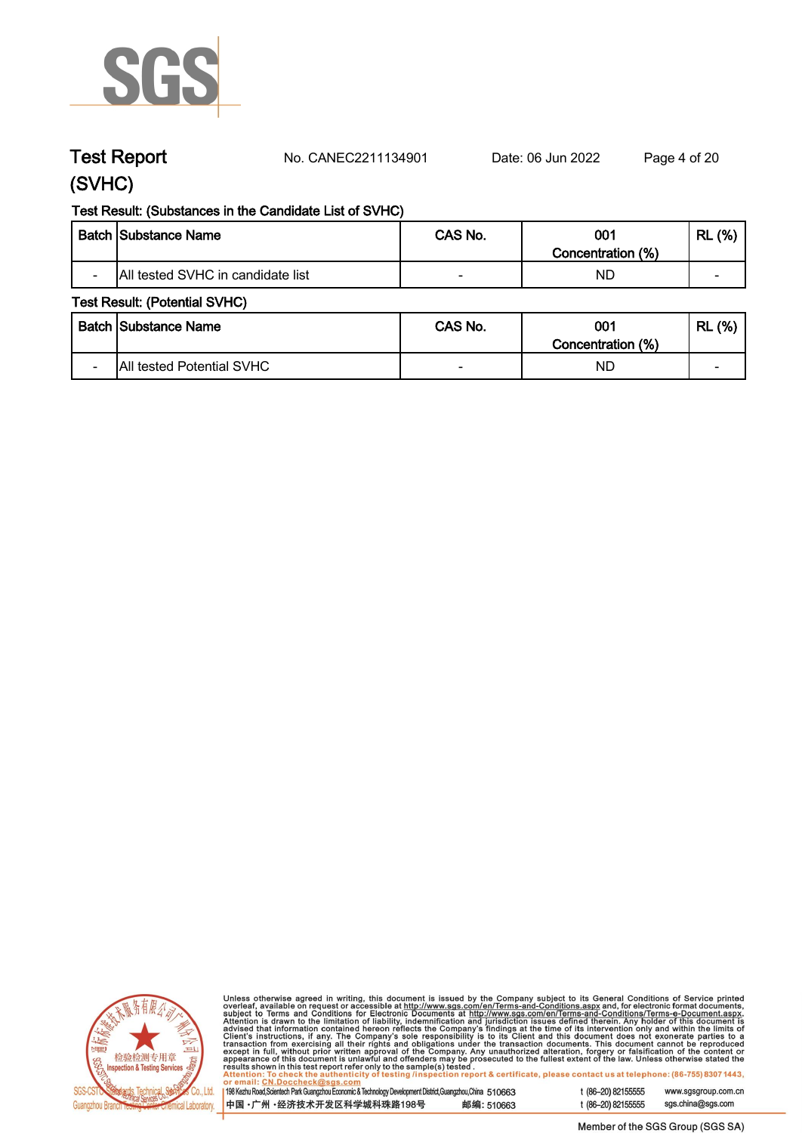

**Test Report. No. CANEC2211134901 . Date: 06 Jun 2022. Page 4 of 20.**

# **(SVHC)**

## **Test Result: (Substances in the Candidate List of SVHC)**

|                          | <b>Batch Substance Name</b>       | CAS No. | 001<br>Concentration (%) | (%)<br><b>RL</b>         |
|--------------------------|-----------------------------------|---------|--------------------------|--------------------------|
| $\overline{\phantom{0}}$ | All tested SVHC in candidate list |         | ND                       | $\overline{\phantom{0}}$ |

### **Test Result: (Potential SVHC)**

|  | Batch Substance Name      | CAS No. | 001                     | (%)<br><b>RL</b> |
|--|---------------------------|---------|-------------------------|------------------|
|  | All tested Potential SVHC |         | Concentration (%)<br>ND |                  |



Unless otherwise agreed in writing, this document is issued by the Company subject to its General Conditions of Service printed<br>overleaf, available on request or accessible at http://www.sgs.com/en/Terms-and-Conditions.as

| 198 Kezhu Road,Scientech Park Guangzhou Economic & Technology Development District,Guangzhou,China 51 0663 |            |
|------------------------------------------------------------------------------------------------------------|------------|
| 中国 •广州 •经济技术开发区科学城科珠路198号                                                                                  | 邮编: 510663 |

sgs.china@sgs.com t (86-20) 82155555

www.sgsgroup.com.cn

t (86-20) 82155555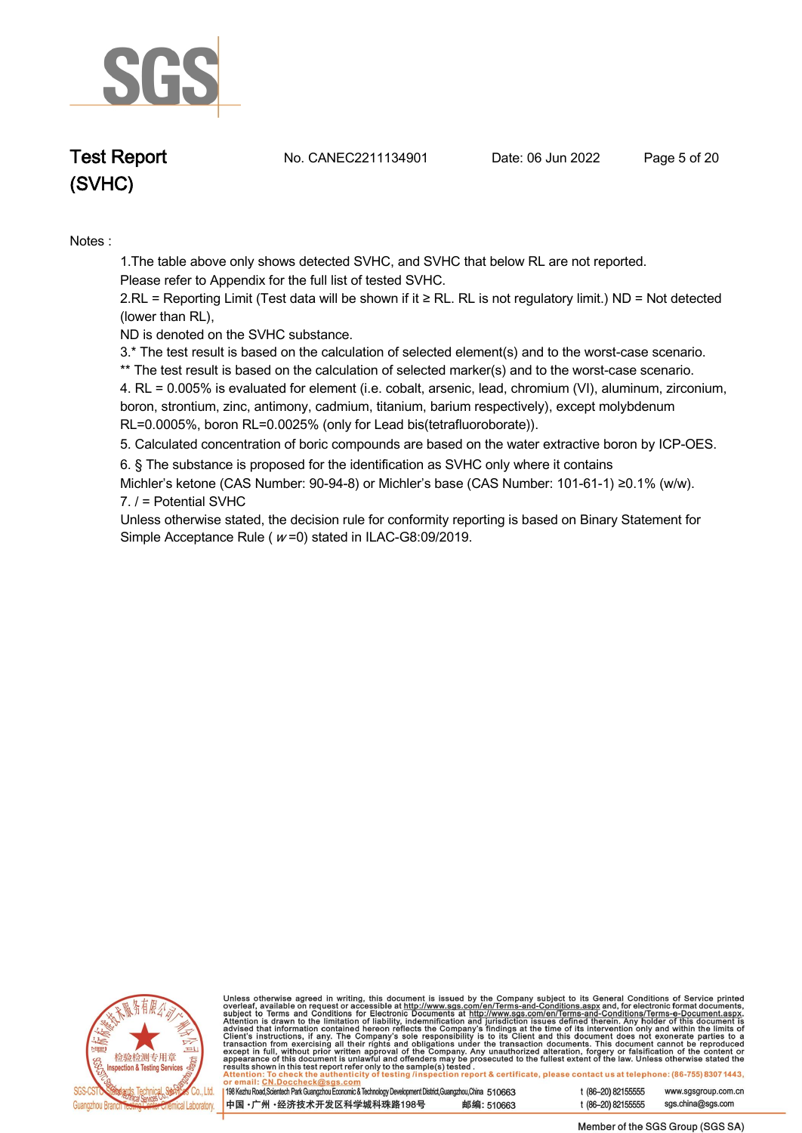

**Test Report. No. CANEC2211134901 . Date: 06 Jun 2022. Page 5 of 20.**

**Notes :.**

**1.The table above only shows detected SVHC, and SVHC that below RL are not reported.** 

**Please refer to Appendix for the full list of tested SVHC.**

**2.RL = Reporting Limit (Test data will be shown if it ≥ RL. RL is not regulatory limit.) ND = Not detected (lower than RL),** 

**ND is denoted on the SVHC substance.**

**3.\* The test result is based on the calculation of selected element(s) and to the worst-case scenario.** 

**\*\* The test result is based on the calculation of selected marker(s) and to the worst-case scenario.** 

**4. RL = 0.005% is evaluated for element (i.e. cobalt, arsenic, lead, chromium (VI), aluminum, zirconium, boron, strontium, zinc, antimony, cadmium, titanium, barium respectively), except molybdenum RL=0.0005%, boron RL=0.0025% (only for Lead bis(tetrafluoroborate)). .**

**5. Calculated concentration of boric compounds are based on the water extractive boron by ICP-OES. .**

**6. § The substance is proposed for the identification as SVHC only where it contains** 

**Michler's ketone (CAS Number: 90-94-8) or Michler's base (CAS Number: 101-61-1) ≥0.1% (w/w). 7. / = Potential SVHC .**

**Unless otherwise stated, the decision rule for conformity reporting is based on Binary Statement for Simple Acceptance Rule ( <sup>w</sup> =0) stated in ILAC-G8:09/2019. .**



Unless otherwise agreed in writing, this document is issued by the Company subject to its General Conditions of Service printed<br>overleaf, available on request or accessible at http://www.sgs.com/en/Terms-and-Conditions.as

| 198 Kezhu Road, Scientech Park Guangzhou Economic & Technology Development District, Guangzhou, China 510663 |            |
|--------------------------------------------------------------------------------------------------------------|------------|
| 中国 •广州 •经济技术开发区科学城科珠路198号                                                                                    | 邮编: 510663 |

t (86-20) 82155555 www.sgsgroup.com.cn t (86-20) 82155555 sas.china@sas.com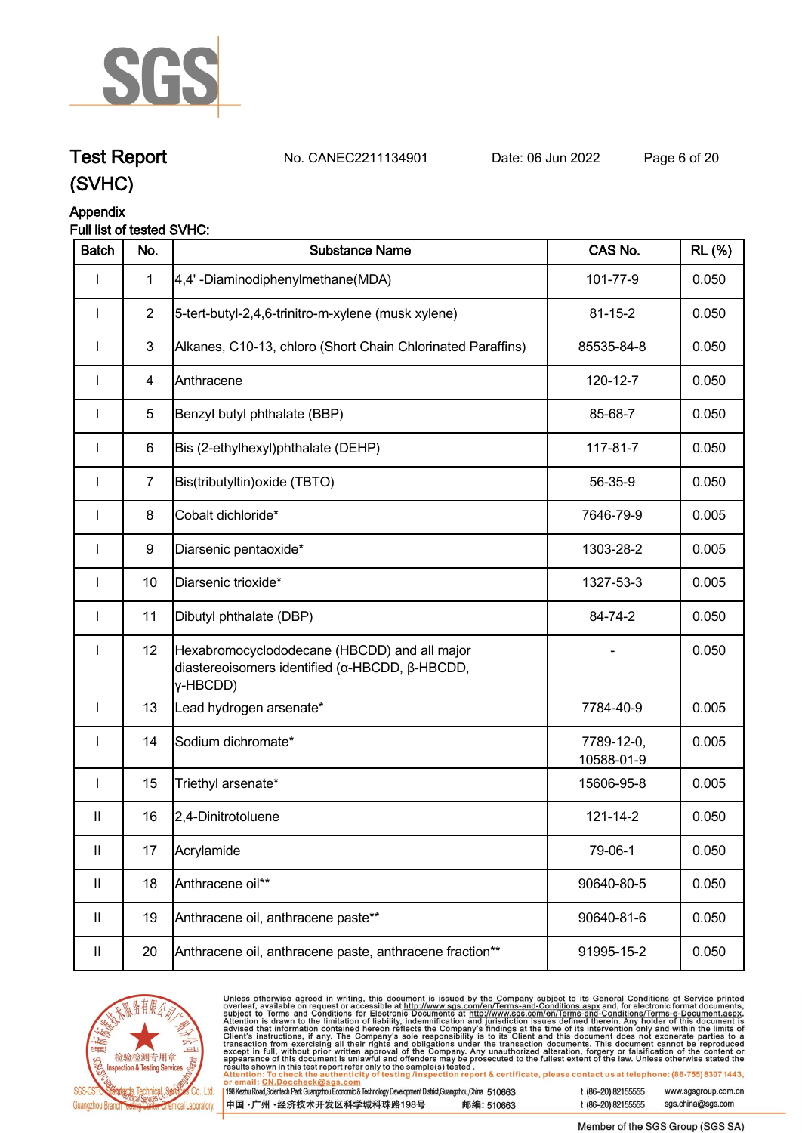

# **Test Report. No. CANEC2211134901 . Date: 06 Jun 2022. Page 6 of 20.**

# **(SVHC)**

### **Appendix Full list of tested SVHC:**

| <b>Batch</b>               | No.            | <b>Substance Name</b>                                                                                      | CAS No.                  | <b>RL</b> (%) |
|----------------------------|----------------|------------------------------------------------------------------------------------------------------------|--------------------------|---------------|
|                            | 1              | 4,4'-Diaminodiphenylmethane(MDA)                                                                           | 101-77-9                 | 0.050         |
| ı                          | $\overline{2}$ | 5-tert-butyl-2,4,6-trinitro-m-xylene (musk xylene)                                                         | $81 - 15 - 2$            | 0.050         |
| ı                          | 3              | Alkanes, C10-13, chloro (Short Chain Chlorinated Paraffins)                                                | 85535-84-8               | 0.050         |
| ı                          | 4              | Anthracene                                                                                                 | 120-12-7                 | 0.050         |
| I                          | 5              | Benzyl butyl phthalate (BBP)                                                                               | 85-68-7                  | 0.050         |
| I                          | 6              | Bis (2-ethylhexyl)phthalate (DEHP)                                                                         | 117-81-7                 | 0.050         |
| I                          | $\overline{7}$ | Bis(tributyltin) oxide (TBTO)                                                                              | 56-35-9                  | 0.050         |
| <b>I</b>                   | 8              | Cobalt dichloride*                                                                                         | 7646-79-9                | 0.005         |
| <b>I</b>                   | 9              | Diarsenic pentaoxide*                                                                                      | 1303-28-2                | 0.005         |
| ı                          | 10             | Diarsenic trioxide*                                                                                        | 1327-53-3                | 0.005         |
| ı                          | 11             | Dibutyl phthalate (DBP)                                                                                    | 84-74-2                  | 0.050         |
| ı                          | 12             | Hexabromocyclododecane (HBCDD) and all major<br>diastereoisomers identified (α-HBCDD, β-HBCDD,<br>y-HBCDD) |                          | 0.050         |
| $\mathbf{I}$               | 13             | Lead hydrogen arsenate*                                                                                    | 7784-40-9                | 0.005         |
| ı                          | 14             | Sodium dichromate*                                                                                         | 7789-12-0,<br>10588-01-9 | 0.005         |
| <b>I</b>                   | 15             | Triethyl arsenate*                                                                                         | 15606-95-8               | 0.005         |
| $\ensuremath{\mathsf{II}}$ | 16             | 2,4-Dinitrotoluene                                                                                         | 121-14-2                 | 0.050         |
| $\mathbf{II}$              | 17             | Acrylamide                                                                                                 | 79-06-1                  | 0.050         |
| $\ensuremath{\mathsf{II}}$ | 18             | Anthracene oil**                                                                                           | 90640-80-5               | 0.050         |
| $\mathbf{II}$              | 19             | Anthracene oil, anthracene paste**                                                                         | 90640-81-6               | 0.050         |
| Ш                          | 20             | Anthracene oil, anthracene paste, anthracene fraction**                                                    | 91995-15-2               | 0.050         |



Unless otherwise agreed in writing, this document is issued by the Company subject to its General Conditions of Service printed<br>overleaf, available on request or accessible at http://www.sgs.com/en/Terms-and-Conditions.as  $\overline{1}$ 

| 198 Kezhu Road,Scientech Park Guangzhou Economic & Technology Development District,Guangzhou,China 510663 |            |
|-----------------------------------------------------------------------------------------------------------|------------|
| 【中国 •广州 •经济技术开发区科学城科珠路198号 ↓                                                                              | 邮编: 510663 |

t (86-20) 82155555 www.sgsgroup.com.cn sgs.china@sgs.com t (86-20) 82155555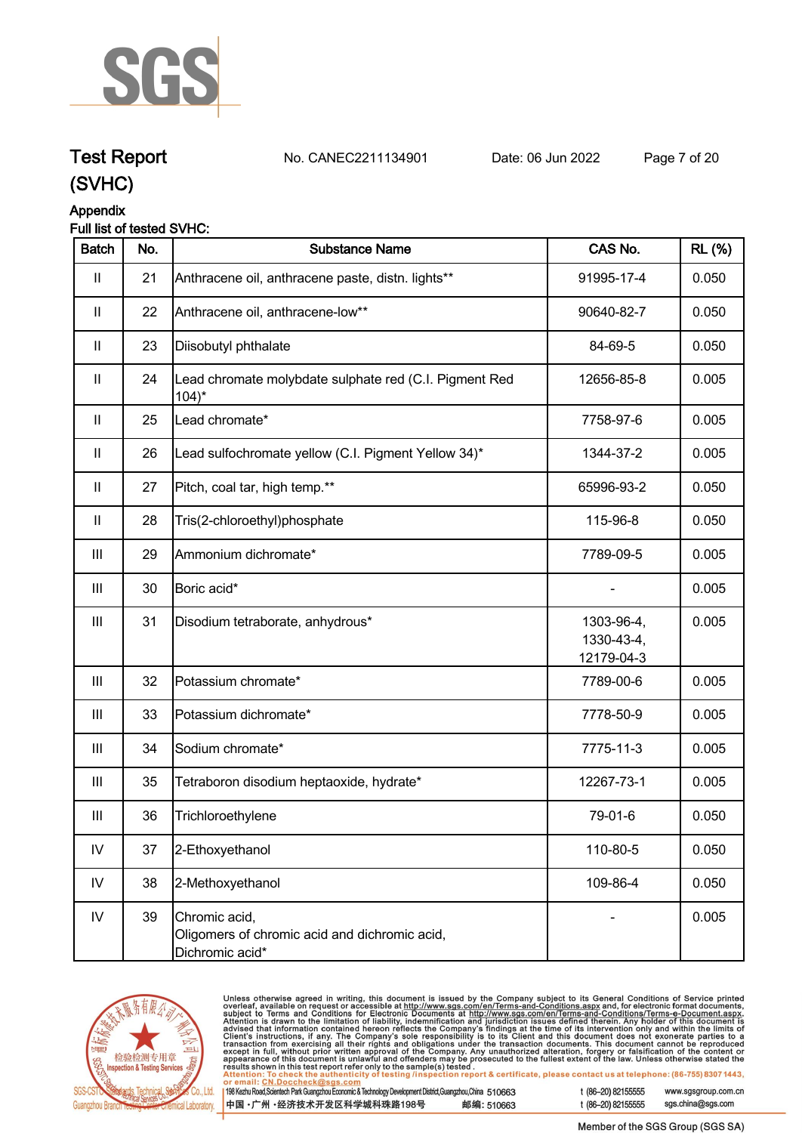

# **Test Report. No. CANEC2211134901 . Date: 06 Jun 2022. Page 7 of 20.**

**(SVHC)**

# **Appendix**

# **Full list of tested SVHC:**

| <b>Batch</b>               | No. | <b>Substance Name</b>                                                             | CAS No.                                | <b>RL</b> (%) |
|----------------------------|-----|-----------------------------------------------------------------------------------|----------------------------------------|---------------|
| $\mathbf{II}$              | 21  | Anthracene oil, anthracene paste, distn. lights**                                 | 91995-17-4                             | 0.050         |
| $\mathbf{II}$              | 22  | Anthracene oil, anthracene-low**                                                  | 90640-82-7                             | 0.050         |
| $\mathbf{II}$              | 23  | Diisobutyl phthalate                                                              | 84-69-5                                | 0.050         |
| $\ensuremath{\mathsf{II}}$ | 24  | Lead chromate molybdate sulphate red (C.I. Pigment Red<br>$104$ <sup>*</sup>      | 12656-85-8                             | 0.005         |
| $\mathbf{II}$              | 25  | Lead chromate*                                                                    | 7758-97-6                              | 0.005         |
| $\mathbf{II}$              | 26  | Lead sulfochromate yellow (C.I. Pigment Yellow 34)*                               | 1344-37-2                              | 0.005         |
| $\mathbf{  }$              | 27  | Pitch, coal tar, high temp.**                                                     | 65996-93-2                             | 0.050         |
| $\mathbf{II}$              | 28  | Tris(2-chloroethyl)phosphate                                                      | 115-96-8                               | 0.050         |
| Ш                          | 29  | Ammonium dichromate*                                                              | 7789-09-5                              | 0.005         |
| Ш                          | 30  | Boric acid*                                                                       |                                        | 0.005         |
| $\mathbf{III}$             | 31  | Disodium tetraborate, anhydrous*                                                  | 1303-96-4,<br>1330-43-4,<br>12179-04-3 | 0.005         |
| $\mathbf{III}$             | 32  | Potassium chromate*                                                               | 7789-00-6                              | 0.005         |
| Ш                          | 33  | Potassium dichromate*                                                             | 7778-50-9                              | 0.005         |
| Ш                          | 34  | Sodium chromate*                                                                  | 7775-11-3                              | 0.005         |
| Ш                          | 35  | Tetraboron disodium heptaoxide, hydrate*                                          | 12267-73-1                             | 0.005         |
| Ш                          | 36  | Trichloroethylene                                                                 | 79-01-6                                | 0.050         |
| IV                         | 37  | 2-Ethoxyethanol                                                                   | 110-80-5                               | 0.050         |
| ${\sf IV}$                 | 38  | 2-Methoxyethanol                                                                  | 109-86-4                               | 0.050         |
| IV                         | 39  | Chromic acid,<br>Oligomers of chromic acid and dichromic acid,<br>Dichromic acid* |                                        | 0.005         |



Unless otherwise agreed in writing, this document is issued by the Company subject to its General Conditions of Service printed<br>overleaf, available on request or accessible at <u>http://www.sgs.com/en/Terms-and-Conditions.a</u>

| 198 Kezhu Road,Scientech Park Guangzhou Economic & Technology Development District,Guangzhou,China   510663 |            |
|-------------------------------------------------------------------------------------------------------------|------------|
| 中国 •广州 •经济技术开发区科学城科珠路198号 」                                                                                 | 邮编: 510663 |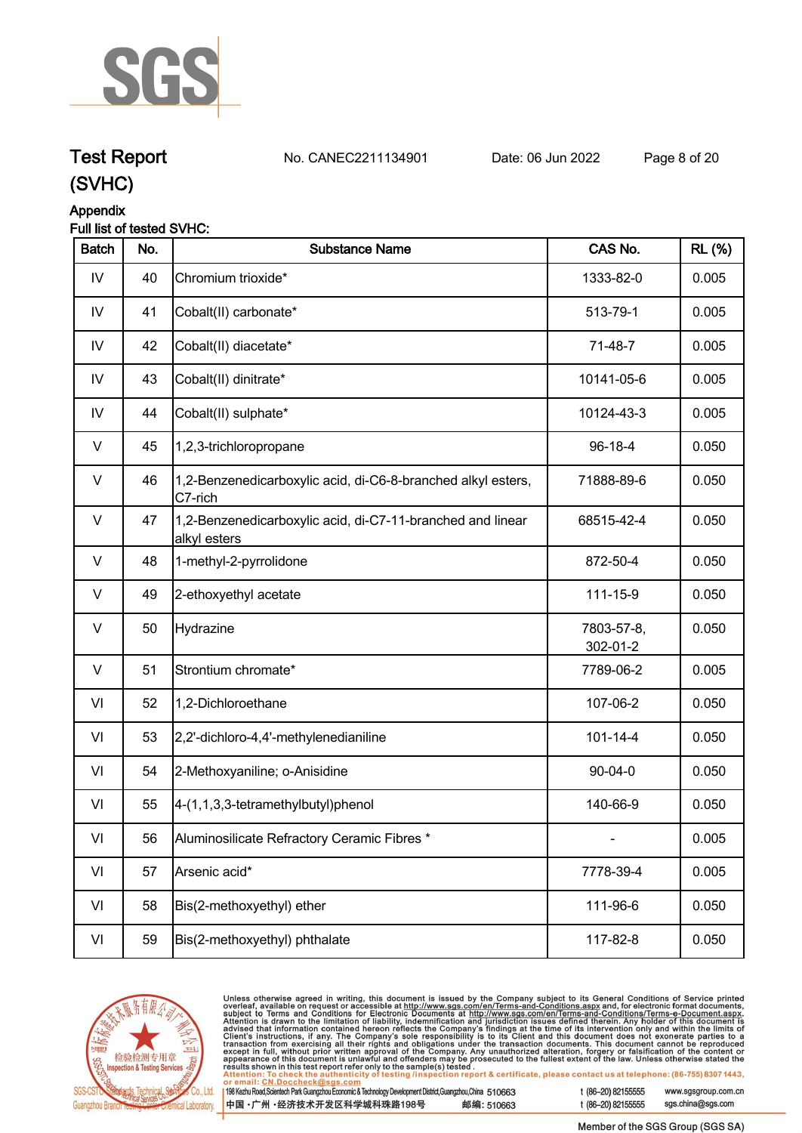

# **Test Report. No. CANEC2211134901 . Date: 06 Jun 2022. Page 8 of 20.**

**(SVHC)**

### **Appendix**

## **Full list of tested SVHC:**

| <b>Batch</b>  | No. | <b>Substance Name</b>                                                      | CAS No.                | <b>RL</b> (%) |
|---------------|-----|----------------------------------------------------------------------------|------------------------|---------------|
| IV            | 40  | Chromium trioxide*                                                         | 1333-82-0              | 0.005         |
| $\mathsf{IV}$ | 41  | Cobalt(II) carbonate*                                                      | 513-79-1               | 0.005         |
| IV            | 42  | Cobalt(II) diacetate*                                                      | 71-48-7                | 0.005         |
| IV            | 43  | Cobalt(II) dinitrate*                                                      | 10141-05-6             | 0.005         |
| $\mathsf{IV}$ | 44  | Cobalt(II) sulphate*                                                       | 10124-43-3             | 0.005         |
| V             | 45  | 1,2,3-trichloropropane                                                     | 96-18-4                | 0.050         |
| $\vee$        | 46  | 1,2-Benzenedicarboxylic acid, di-C6-8-branched alkyl esters,<br>C7-rich    | 71888-89-6             | 0.050         |
| $\vee$        | 47  | 1,2-Benzenedicarboxylic acid, di-C7-11-branched and linear<br>alkyl esters | 68515-42-4             | 0.050         |
| $\vee$        | 48  | 1-methyl-2-pyrrolidone                                                     | 872-50-4               | 0.050         |
| $\vee$        | 49  | 2-ethoxyethyl acetate                                                      | 111-15-9               | 0.050         |
| $\vee$        | 50  | Hydrazine                                                                  | 7803-57-8,<br>302-01-2 | 0.050         |
| $\vee$        | 51  | Strontium chromate*                                                        | 7789-06-2              | 0.005         |
| VI            | 52  | 1,2-Dichloroethane                                                         | 107-06-2               | 0.050         |
| VI            | 53  | 2,2'-dichloro-4,4'-methylenedianiline                                      | $101 - 14 - 4$         | 0.050         |
| VI            | 54  | 2-Methoxyaniline; o-Anisidine                                              | $90 - 04 - 0$          | 0.050         |
| VI            | 55  | 4-(1,1,3,3-tetramethylbutyl)phenol                                         | 140-66-9               | 0.050         |
| VI            | 56  | Aluminosilicate Refractory Ceramic Fibres *                                |                        | 0.005         |
| VI            | 57  | Arsenic acid*                                                              | 7778-39-4              | 0.005         |
| VI            | 58  | Bis(2-methoxyethyl) ether                                                  | 111-96-6               | 0.050         |
| VI            | 59  | Bis(2-methoxyethyl) phthalate                                              | 117-82-8               | 0.050         |



Unless otherwise agreed in writing, this document is issued by the Company subject to its General Conditions of Service printed<br>overleaf, available on request or accessible at <u>http://www.sgs.com/en/Terms-and-Conditions.a</u>

| 198 Kezhu Road,Scientech Park Guangzhou Economic & Technology Development District,Guangzhou,China 510663 |            |
|-----------------------------------------------------------------------------------------------------------|------------|
| 中国 •广州 •经济技术开发区科学城科珠路198号 ;                                                                               | 邮编: 510663 |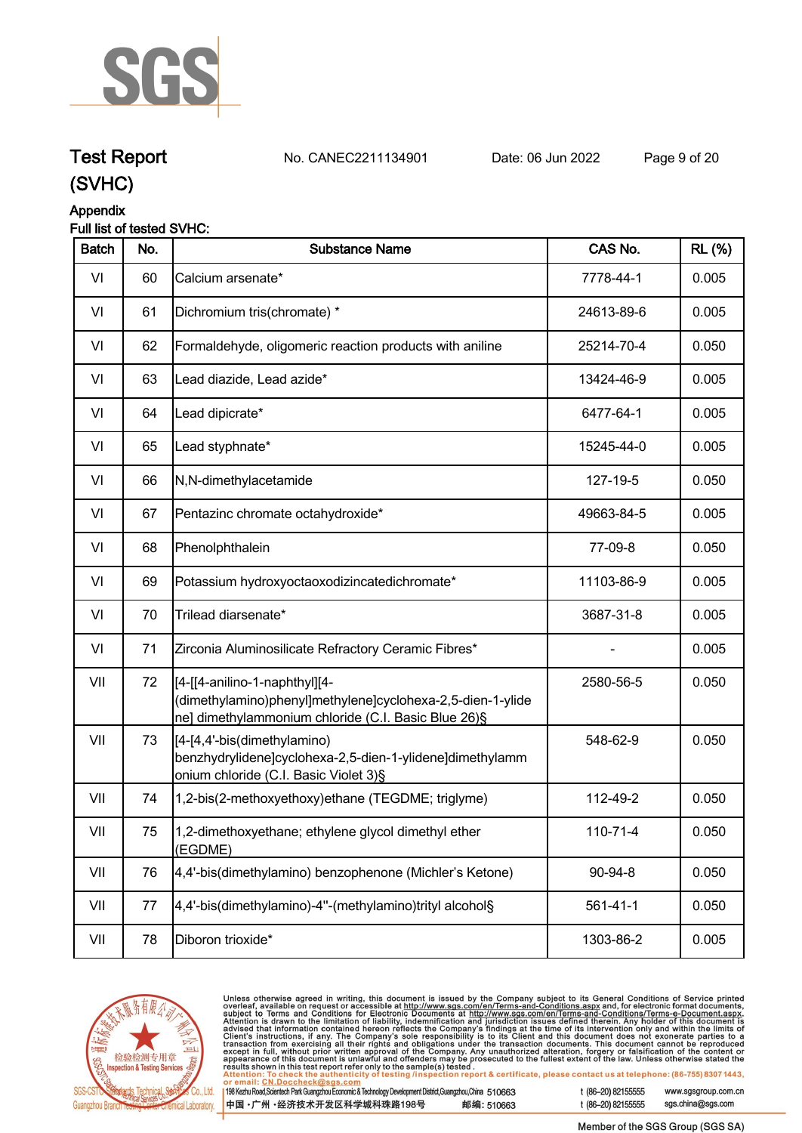

# **Test Report. No. CANEC2211134901 . Date: 06 Jun 2022. Page 9 of 20.**

**(SVHC)**

# **Appendix**

## **Full list of tested SVHC:**

| <b>Batch</b> | No. | <b>Substance Name</b>                                                                                                                              | CAS No.        | <b>RL</b> (%) |
|--------------|-----|----------------------------------------------------------------------------------------------------------------------------------------------------|----------------|---------------|
| VI           | 60  | Calcium arsenate*                                                                                                                                  | 7778-44-1      | 0.005         |
| VI           | 61  | Dichromium tris(chromate) *                                                                                                                        | 24613-89-6     | 0.005         |
| VI           | 62  | Formaldehyde, oligomeric reaction products with aniline                                                                                            | 25214-70-4     | 0.050         |
| VI           | 63  | Lead diazide, Lead azide*                                                                                                                          | 13424-46-9     | 0.005         |
| VI           | 64  | Lead dipicrate*                                                                                                                                    | 6477-64-1      | 0.005         |
| VI           | 65  | Lead styphnate*                                                                                                                                    | 15245-44-0     | 0.005         |
| VI           | 66  | N,N-dimethylacetamide                                                                                                                              | 127-19-5       | 0.050         |
| VI           | 67  | Pentazinc chromate octahydroxide*                                                                                                                  | 49663-84-5     | 0.005         |
| VI           | 68  | Phenolphthalein                                                                                                                                    | 77-09-8        | 0.050         |
| VI           | 69  | Potassium hydroxyoctaoxodizincatedichromate*                                                                                                       | 11103-86-9     | 0.005         |
| VI           | 70  | Trilead diarsenate*                                                                                                                                | 3687-31-8      | 0.005         |
| VI           | 71  | Zirconia Aluminosilicate Refractory Ceramic Fibres*                                                                                                |                | 0.005         |
| VII          | 72  | [4-[[4-anilino-1-naphthyl][4-<br>(dimethylamino)phenyl]methylene]cyclohexa-2,5-dien-1-ylide<br>ne] dimethylammonium chloride (C.I. Basic Blue 26)§ | 2580-56-5      | 0.050         |
| VII          | 73  | [4-[4,4'-bis(dimethylamino)<br>benzhydrylidene]cyclohexa-2,5-dien-1-ylidene]dimethylamm<br>onium chloride (C.I. Basic Violet 3)§                   | 548-62-9       | 0.050         |
| VII          | 74  | 1,2-bis(2-methoxyethoxy)ethane (TEGDME; triglyme)                                                                                                  | 112-49-2       | 0.050         |
| VII          | 75  | 1,2-dimethoxyethane; ethylene glycol dimethyl ether<br>(EGDME)                                                                                     | 110-71-4       | 0.050         |
| VII          | 76  | 4,4'-bis(dimethylamino) benzophenone (Michler's Ketone)                                                                                            | 90-94-8        | 0.050         |
| VII          | 77  | 4,4'-bis(dimethylamino)-4"-(methylamino)trityl alcohol§                                                                                            | $561 - 41 - 1$ | 0.050         |
| VII          | 78  | Diboron trioxide*                                                                                                                                  | 1303-86-2      | 0.005         |
|              |     |                                                                                                                                                    |                |               |



Unless otherwise agreed in writing, this document is issued by the Company subject to its General Conditions of Service printed<br>overleaf, available on request or accessible at http://www.sgs.com/en/Terms-and-Conditions.as

| ll 198 Kezhu Road,Scientech Park Guangzhou Economic & Technology Development District,Guangzhou,China 51 0663 |            |
|---------------------------------------------------------------------------------------------------------------|------------|
| 中国 •广州 •经济技术开发区科学城科珠路198号                                                                                     | 邮编: 510663 |

t (86-20) 82155555 www.sgsgroup.com.cn sgs.china@sgs.com t (86-20) 82155555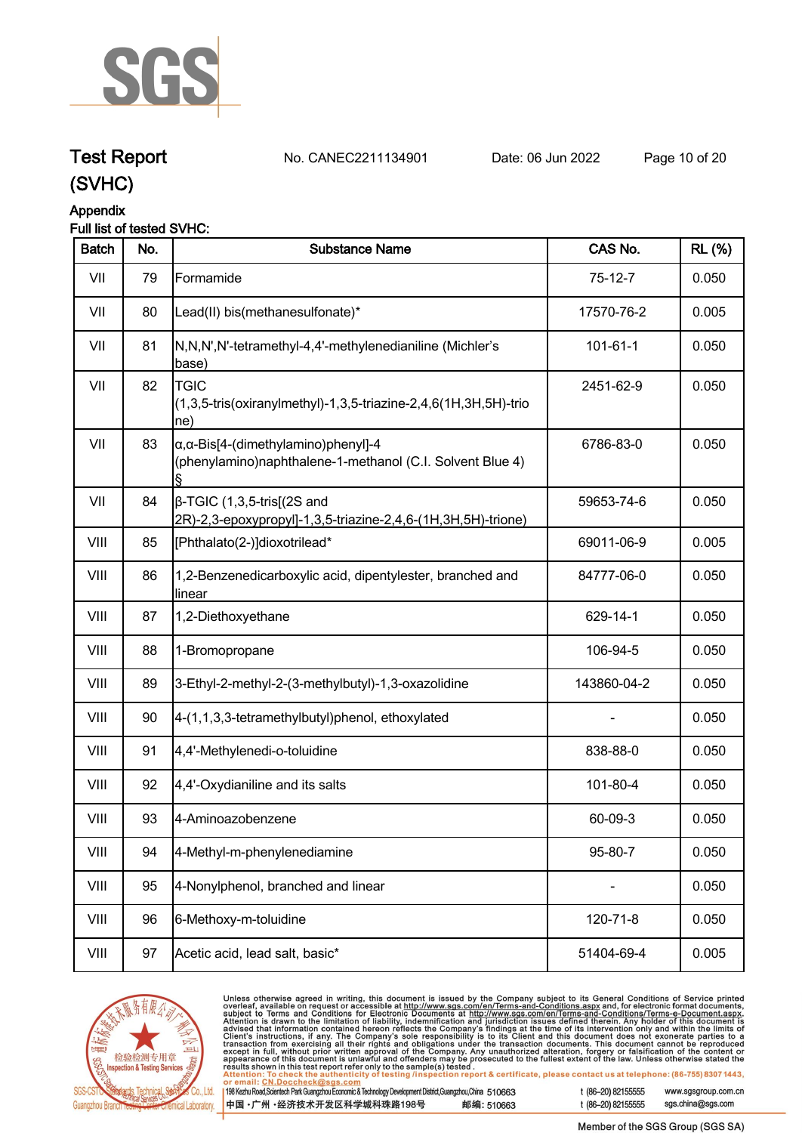

# **Test Report. No. CANEC2211134901 . Date: 06 Jun 2022. Page 10 of 20.**

# **(SVHC)**

# **Appendix**

### **Full list of tested SVHC:**

| <b>Batch</b> | No. | <b>Substance Name</b>                                                                                            | CAS No.     | <b>RL (%)</b> |
|--------------|-----|------------------------------------------------------------------------------------------------------------------|-------------|---------------|
| VII          | 79  | Formamide                                                                                                        | $75-12-7$   | 0.050         |
| VII          | 80  | Lead(II) bis(methanesulfonate)*                                                                                  | 17570-76-2  | 0.005         |
| VII          | 81  | N,N,N',N'-tetramethyl-4,4'-methylenedianiline (Michler's<br>base)                                                | 101-61-1    | 0.050         |
| VII          | 82  | <b>TGIC</b><br>$(1,3,5$ -tris(oxiranylmethyl)-1,3,5-triazine-2,4,6(1H,3H,5H)-trio<br>ne)                         | 2451-62-9   | 0.050         |
| VII          | 83  | $\alpha$ , $\alpha$ -Bis[4-(dimethylamino)phenyl]-4<br>(phenylamino)naphthalene-1-methanol (C.I. Solvent Blue 4) | 6786-83-0   | 0.050         |
| VII          | 84  | $\beta$ -TGIC (1,3,5-tris[(2S and<br>2R)-2,3-epoxypropyl]-1,3,5-triazine-2,4,6-(1H,3H,5H)-trione)                | 59653-74-6  | 0.050         |
| VIII         | 85  | [Phthalato(2-)]dioxotrilead*                                                                                     | 69011-06-9  | 0.005         |
| VIII         | 86  | 1,2-Benzenedicarboxylic acid, dipentylester, branched and<br>linear                                              | 84777-06-0  | 0.050         |
| VIII         | 87  | 1,2-Diethoxyethane                                                                                               | 629-14-1    | 0.050         |
| VIII         | 88  | 1-Bromopropane                                                                                                   | 106-94-5    | 0.050         |
| VIII         | 89  | 3-Ethyl-2-methyl-2-(3-methylbutyl)-1,3-oxazolidine                                                               | 143860-04-2 | 0.050         |
| VIII         | 90  | 4-(1,1,3,3-tetramethylbutyl)phenol, ethoxylated                                                                  |             | 0.050         |
| VIII         | 91  | 4,4'-Methylenedi-o-toluidine                                                                                     | 838-88-0    | 0.050         |
| VIII         | 92  | 4,4'-Oxydianiline and its salts                                                                                  | 101-80-4    | 0.050         |
| VIII         | 93  | 4-Aminoazobenzene                                                                                                | 60-09-3     | 0.050         |
| VIII         | 94  | 4-Methyl-m-phenylenediamine                                                                                      | 95-80-7     | 0.050         |
| VIII         | 95  | 4-Nonylphenol, branched and linear                                                                               |             | 0.050         |
| VIII         | 96  | 6-Methoxy-m-toluidine                                                                                            | 120-71-8    | 0.050         |
| VIII         | 97  | Acetic acid, lead salt, basic*                                                                                   | 51404-69-4  | 0.005         |



Unless otherwise agreed in writing, this document is issued by the Company subject to its General Conditions of Service printed<br>overleaf, available on request or accessible at http://www.sgs.com/en/Terms-and-Conditions.as

| 98 Kezhu Road, Scientech Park Guangzhou Economic & Technology Development District, Guangzhou, China 510663 |            |
|-------------------------------------------------------------------------------------------------------------|------------|
| 中国 •广州 •经济技术开发区科学城科珠路198号 ;                                                                                 | 邮编: 510663 |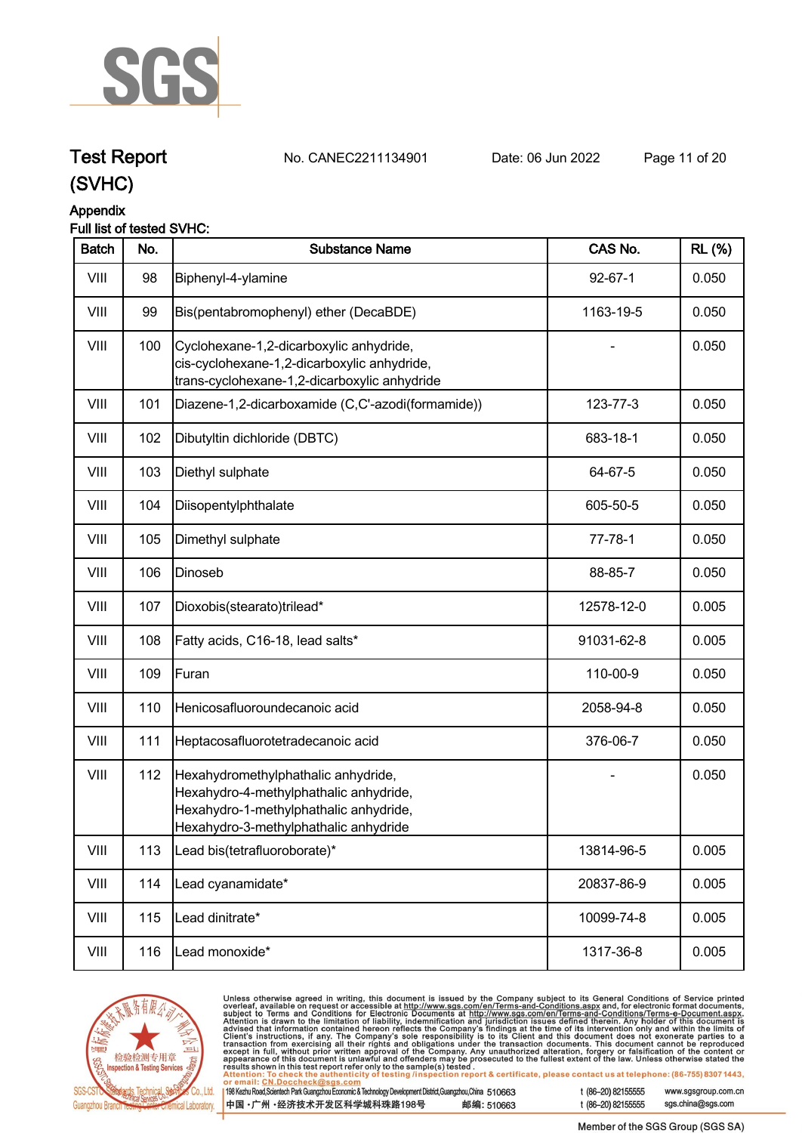

**Test Report. No. CANEC2211134901 . Date: 06 Jun 2022. Page 11 of 20.**

# **(SVHC)**

# **Appendix**

## **Full list of tested SVHC:**

| <b>Batch</b> | No. | <b>Substance Name</b>                                                                                                                                            | CAS No.       | <b>RL</b> (%) |
|--------------|-----|------------------------------------------------------------------------------------------------------------------------------------------------------------------|---------------|---------------|
| VIII         | 98  | Biphenyl-4-ylamine                                                                                                                                               | $92 - 67 - 1$ | 0.050         |
| VIII         | 99  | Bis(pentabromophenyl) ether (DecaBDE)                                                                                                                            | 1163-19-5     | 0.050         |
| VIII         | 100 | Cyclohexane-1,2-dicarboxylic anhydride,<br>cis-cyclohexane-1,2-dicarboxylic anhydride,<br>trans-cyclohexane-1,2-dicarboxylic anhydride                           |               | 0.050         |
| VIII         | 101 | Diazene-1,2-dicarboxamide (C,C'-azodi(formamide))                                                                                                                | 123-77-3      | 0.050         |
| VIII         | 102 | Dibutyltin dichloride (DBTC)                                                                                                                                     | 683-18-1      | 0.050         |
| VIII         | 103 | Diethyl sulphate                                                                                                                                                 | 64-67-5       | 0.050         |
| VIII         | 104 | Diisopentylphthalate                                                                                                                                             | 605-50-5      | 0.050         |
| VIII         | 105 | Dimethyl sulphate                                                                                                                                                | $77 - 78 - 1$ | 0.050         |
| VIII         | 106 | Dinoseb                                                                                                                                                          | 88-85-7       | 0.050         |
| VIII         | 107 | Dioxobis(stearato)trilead*                                                                                                                                       | 12578-12-0    | 0.005         |
| VIII         | 108 | Fatty acids, C16-18, lead salts*                                                                                                                                 | 91031-62-8    | 0.005         |
| VIII         | 109 | Furan                                                                                                                                                            | 110-00-9      | 0.050         |
| VIII         | 110 | Henicosafluoroundecanoic acid                                                                                                                                    | 2058-94-8     | 0.050         |
| VIII         | 111 | Heptacosafluorotetradecanoic acid                                                                                                                                | 376-06-7      | 0.050         |
| VIII         | 112 | Hexahydromethylphathalic anhydride,<br>Hexahydro-4-methylphathalic anhydride,<br>Hexahydro-1-methylphathalic anhydride,<br>Hexahydro-3-methylphathalic anhydride |               | 0.050         |
| VIII         | 113 | Lead bis(tetrafluoroborate)*                                                                                                                                     | 13814-96-5    | 0.005         |
| VIII         | 114 | Lead cyanamidate*                                                                                                                                                | 20837-86-9    | 0.005         |
| VIII         | 115 | Lead dinitrate*                                                                                                                                                  | 10099-74-8    | 0.005         |
| VIII         | 116 | Lead monoxide*                                                                                                                                                   | 1317-36-8     | 0.005         |



Unless otherwise agreed in writing, this document is issued by the Company subject to its General Conditions of Service printed<br>overleaf, available on request or accessible at <u>http://www.sgs.com/en/Terms-and-Conditions.a</u> 6-20) 82155555 www.sgsgroup.com.cn

| 198 Kezhu Road,Scientech Park Guangzhou Economic & Technology Development District,Guangzhou,China   51 O663 |            | t (8 |
|--------------------------------------------------------------------------------------------------------------|------------|------|
| 中国 •广州 •经济技术开发区科学城科珠路198号 »                                                                                  | 邮编: 510663 | t (8 |

sgs.china@sgs.com 6-20) 82155555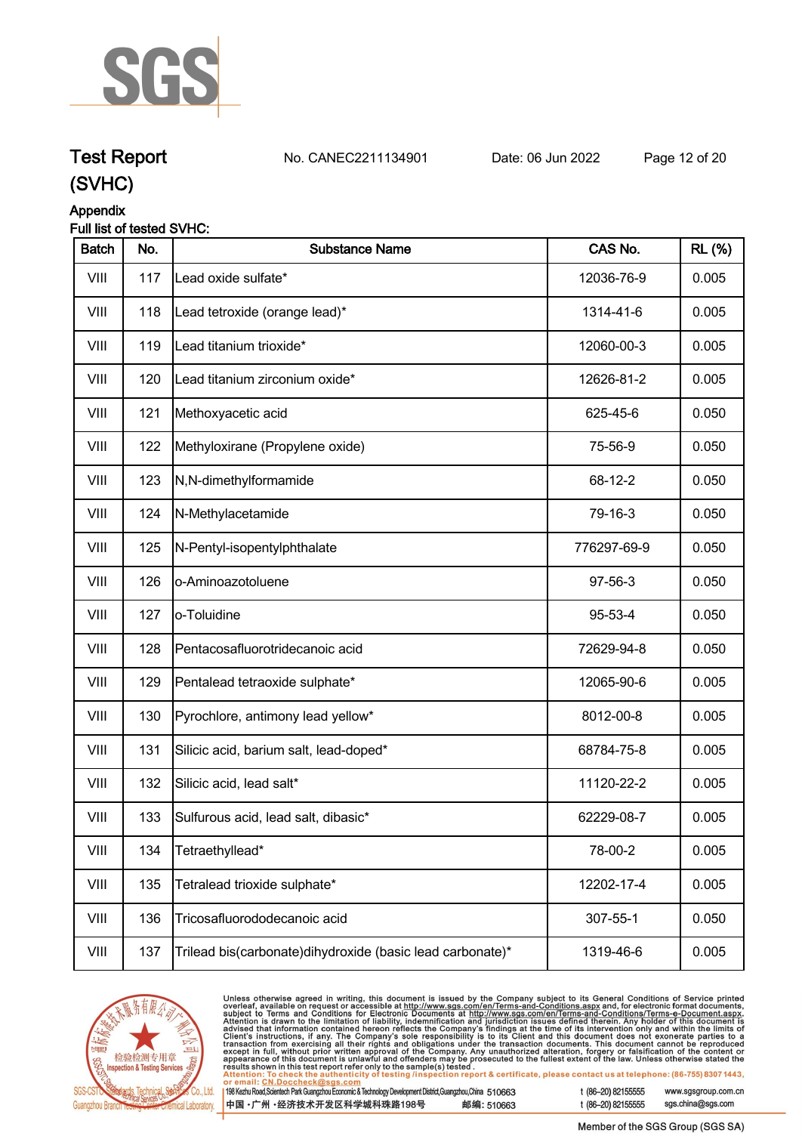

# **Test Report. No. CANEC2211134901 . Date: 06 Jun 2022. Page 12 of 20.**

**(SVHC)**

## **Appendix**

### **Full list of tested SVHC:**

| <b>Batch</b> | No. | <b>Substance Name</b>                                       | CAS No.     | <b>RL</b> (%) |
|--------------|-----|-------------------------------------------------------------|-------------|---------------|
| VIII         | 117 | Lead oxide sulfate*                                         | 12036-76-9  | 0.005         |
| VIII         | 118 | Lead tetroxide (orange lead)*                               | 1314-41-6   | 0.005         |
| VIII         | 119 | Lead titanium trioxide*                                     | 12060-00-3  | 0.005         |
| VIII         | 120 | Lead titanium zirconium oxide*                              | 12626-81-2  | 0.005         |
| VIII         | 121 | Methoxyacetic acid                                          | 625-45-6    | 0.050         |
| VIII         | 122 | Methyloxirane (Propylene oxide)                             | 75-56-9     | 0.050         |
| VIII         | 123 | N,N-dimethylformamide                                       | 68-12-2     | 0.050         |
| VIII         | 124 | N-Methylacetamide                                           | 79-16-3     | 0.050         |
| VIII         | 125 | N-Pentyl-isopentylphthalate                                 | 776297-69-9 | 0.050         |
| VIII         | 126 | o-Aminoazotoluene                                           | 97-56-3     | 0.050         |
| VIII         | 127 | o-Toluidine                                                 | 95-53-4     | 0.050         |
| VIII         | 128 | Pentacosafluorotridecanoic acid                             | 72629-94-8  | 0.050         |
| VIII         | 129 | Pentalead tetraoxide sulphate*                              | 12065-90-6  | 0.005         |
| VIII         | 130 | Pyrochlore, antimony lead yellow*                           | 8012-00-8   | 0.005         |
| VIII         | 131 | Silicic acid, barium salt, lead-doped*                      | 68784-75-8  | 0.005         |
| VIII         | 132 | Silicic acid, lead salt*                                    | 11120-22-2  | 0.005         |
| VIII         | 133 | Sulfurous acid, lead salt, dibasic*                         | 62229-08-7  | 0.005         |
| VIII         | 134 | Tetraethyllead*                                             | 78-00-2     | 0.005         |
| VIII         | 135 | Tetralead trioxide sulphate*                                | 12202-17-4  | 0.005         |
| VIII         | 136 | Tricosafluorododecanoic acid                                | 307-55-1    | 0.050         |
| VIII         | 137 | Trilead bis(carbonate) dihy droxide (basic lead carbonate)* | 1319-46-6   | 0.005         |



Unless otherwise agreed in writing, this document is issued by the Company subject to its General Conditions of Service printed<br>overleaf, available on request or accessible at http://www.sgs.com/en/Terms-and-Conditions.asp | 198

| 1998 Kezhu Road,Scientech Park Guangzhou Economic & Technology Development District,Guangzhou,China 510663 |            |
|------------------------------------------------------------------------------------------------------------|------------|
| 中国 •广州 •经济技术开发区科学城科珠路198号                                                                                  | 邮编: 510663 |

t (86-20) 82155555 www.sgsgroup.com.cn sgs.china@sgs.com t (86-20) 82155555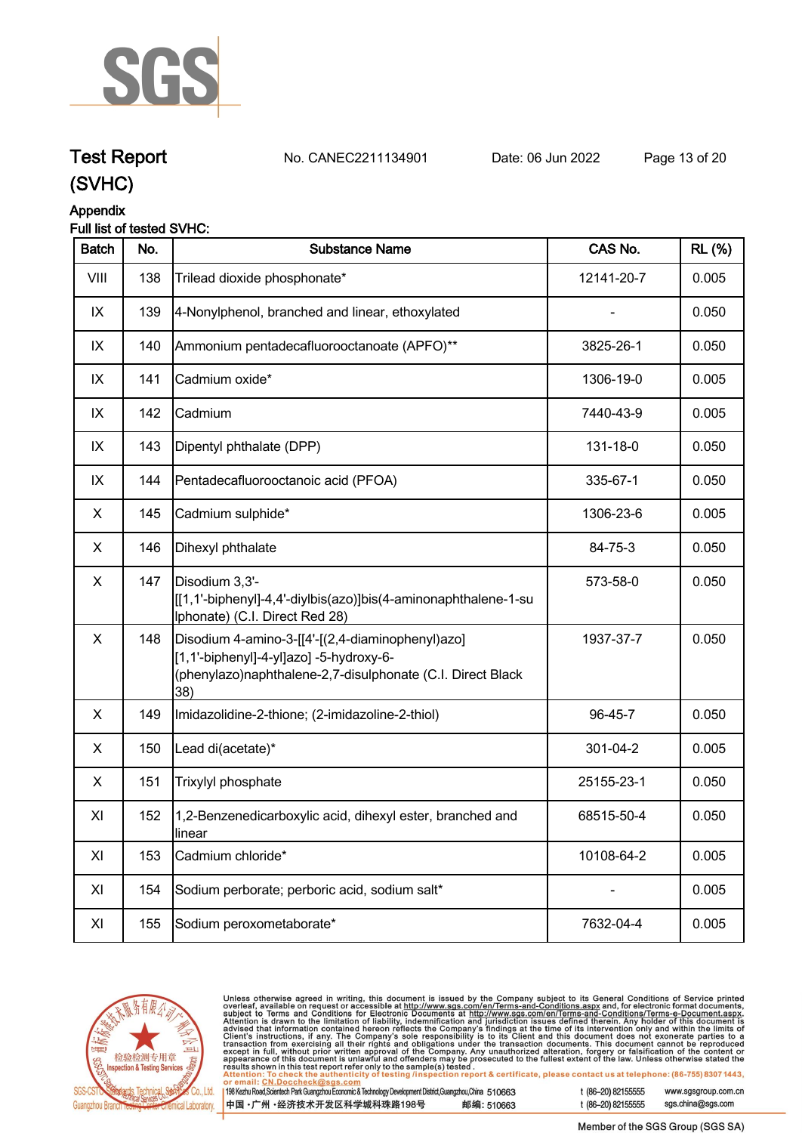

**Test Report. No. CANEC2211134901 . Date: 06 Jun 2022. Page 13 of 20.**

# **Appendix**

# **Full list of tested SVHC:**

| <b>Batch</b> | No. | <b>Substance Name</b>                                                                                                                                            | CAS No.    | <b>RL</b> (%) |
|--------------|-----|------------------------------------------------------------------------------------------------------------------------------------------------------------------|------------|---------------|
| VIII         | 138 | Trilead dioxide phosphonate*                                                                                                                                     | 12141-20-7 | 0.005         |
| IX           | 139 | 4-Nonylphenol, branched and linear, ethoxylated                                                                                                                  |            | 0.050         |
| IX           | 140 | Ammonium pentadecafluorooctanoate (APFO)**                                                                                                                       | 3825-26-1  | 0.050         |
| IX           | 141 | Cadmium oxide*                                                                                                                                                   | 1306-19-0  | 0.005         |
| IX           | 142 | Cadmium                                                                                                                                                          | 7440-43-9  | 0.005         |
| IX           | 143 | Dipentyl phthalate (DPP)                                                                                                                                         | 131-18-0   | 0.050         |
| IX           | 144 | Pentadecafluorooctanoic acid (PFOA)                                                                                                                              | 335-67-1   | 0.050         |
| X            | 145 | Cadmium sulphide*                                                                                                                                                | 1306-23-6  | 0.005         |
| X            | 146 | Dihexyl phthalate                                                                                                                                                | 84-75-3    | 0.050         |
| X            | 147 | Disodium 3,3'-<br>[[1,1'-biphenyl]-4,4'-diylbis(azo)]bis(4-aminonaphthalene-1-su<br>Iphonate) (C.I. Direct Red 28)                                               | 573-58-0   | 0.050         |
| X            | 148 | Disodium 4-amino-3-[[4'-[(2,4-diaminophenyl)azo]<br>[1,1'-biphenyl]-4-yl]azo] -5-hydroxy-6-<br>(phenylazo)naphthalene-2,7-disulphonate (C.I. Direct Black<br>38) | 1937-37-7  | 0.050         |
| X            | 149 | Imidazolidine-2-thione; (2-imidazoline-2-thiol)                                                                                                                  | 96-45-7    | 0.050         |
| X            | 150 | Lead di(acetate)*                                                                                                                                                | 301-04-2   | 0.005         |
| X            | 151 | Trixylyl phosphate                                                                                                                                               | 25155-23-1 | 0.050         |
| XI           | 152 | 1,2-Benzenedicarboxylic acid, dihexyl ester, branched and<br>linear                                                                                              | 68515-50-4 | 0.050         |
| XI           | 153 | Cadmium chloride*                                                                                                                                                | 10108-64-2 | 0.005         |
| XI           | 154 | Sodium perborate; perboric acid, sodium salt*                                                                                                                    |            | 0.005         |
| XI           | 155 | Sodium peroxometaborate*                                                                                                                                         | 7632-04-4  | 0.005         |



Unless otherwise agreed in writing, this document is issued by the Company subject to its General Conditions of Service printed overleaf, available on request or accessible at http://www.sgs.com/en/Terms-and-Conditions.as

198 Kezhu Road, Scientech Park Guangzhou Economic & Technology Development District, Guangzhou, China 510663 邮编: 510663 中国·广州·经济技术开发区科学城科珠路198号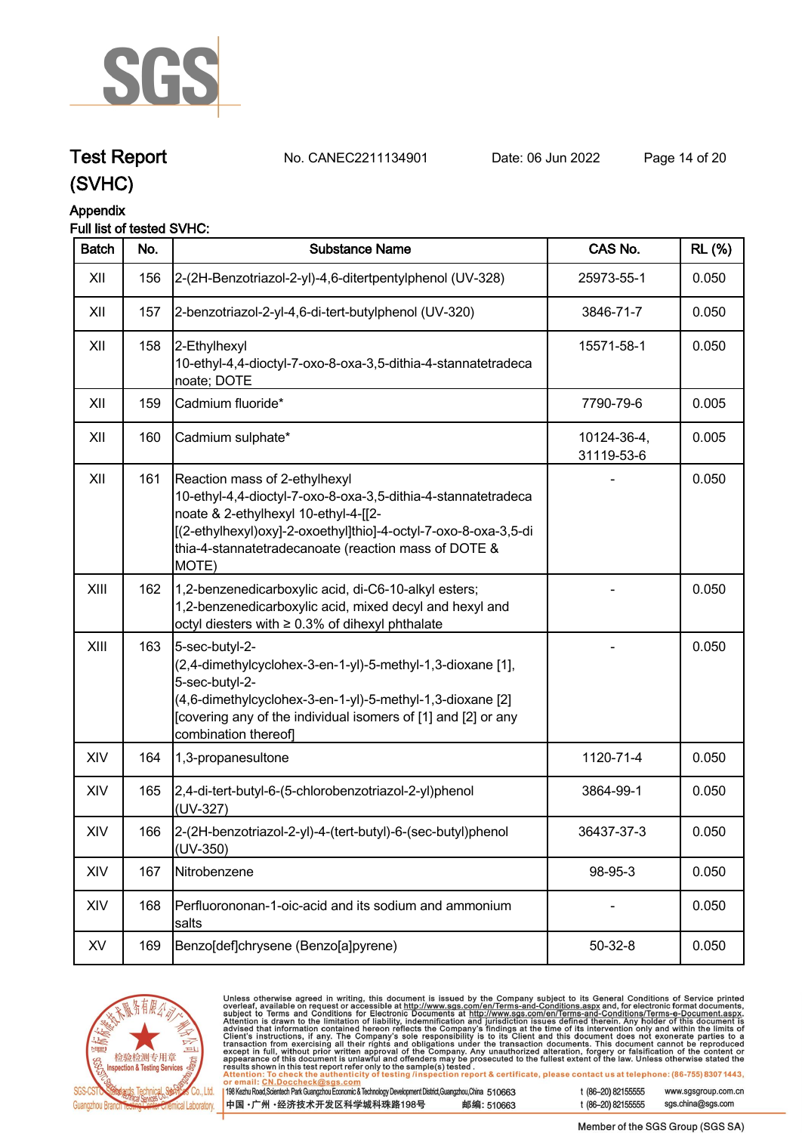

# **Test Report. No. CANEC2211134901 . Date: 06 Jun 2022. Page 14 of 20.**

**(SVHC)**

# **Appendix**

# **Full list of tested SVHC:**

| <b>Batch</b> | No. | <b>Substance Name</b>                                                                                                                                                                                                                                                      | CAS No.                   | <b>RL</b> (%) |
|--------------|-----|----------------------------------------------------------------------------------------------------------------------------------------------------------------------------------------------------------------------------------------------------------------------------|---------------------------|---------------|
| XII          | 156 | 2-(2H-Benzotriazol-2-yl)-4,6-ditertpentylphenol (UV-328)                                                                                                                                                                                                                   | 25973-55-1                | 0.050         |
| XII          | 157 | 2-benzotriazol-2-yl-4,6-di-tert-butylphenol (UV-320)                                                                                                                                                                                                                       | 3846-71-7                 | 0.050         |
| XII          | 158 | 2-Ethylhexyl<br>10-ethyl-4,4-dioctyl-7-oxo-8-oxa-3,5-dithia-4-stannatetradeca<br>noate; DOTE                                                                                                                                                                               | 15571-58-1                | 0.050         |
| XII          | 159 | Cadmium fluoride*                                                                                                                                                                                                                                                          | 7790-79-6                 | 0.005         |
| XII          | 160 | Cadmium sulphate*                                                                                                                                                                                                                                                          | 10124-36-4,<br>31119-53-6 | 0.005         |
| XII          | 161 | Reaction mass of 2-ethylhexyl<br>10-ethyl-4,4-dioctyl-7-oxo-8-oxa-3,5-dithia-4-stannatetradeca<br>noate & 2-ethylhexyl 10-ethyl-4-[[2-<br>[(2-ethylhexyl)oxy]-2-oxoethyl]thio]-4-octyl-7-oxo-8-oxa-3,5-di<br>thia-4-stannatetradecanoate (reaction mass of DOTE &<br>MOTE) |                           | 0.050         |
| XIII         | 162 | 1,2-benzenedicarboxylic acid, di-C6-10-alkyl esters;<br>1,2-benzenedicarboxylic acid, mixed decyl and hexyl and<br>octyl diesters with ≥ 0.3% of dihexyl phthalate                                                                                                         |                           | 0.050         |
| XIII         | 163 | 5-sec-butyl-2-<br>(2,4-dimethylcyclohex-3-en-1-yl)-5-methyl-1,3-dioxane [1],<br>5-sec-butyl-2-<br>(4,6-dimethylcyclohex-3-en-1-yl)-5-methyl-1,3-dioxane [2]<br>[covering any of the individual isomers of [1] and [2] or any<br>combination thereof]                       |                           | 0.050         |
| XIV          | 164 | 1,3-propanesultone                                                                                                                                                                                                                                                         | 1120-71-4                 | 0.050         |
| XIV          | 165 | 2,4-di-tert-butyl-6-(5-chlorobenzotriazol-2-yl)phenol<br>(UV-327)                                                                                                                                                                                                          | 3864-99-1                 | 0.050         |
| XIV          | 166 | 2-(2H-benzotriazol-2-yl)-4-(tert-butyl)-6-(sec-butyl)phenol<br>$(UV-350)$                                                                                                                                                                                                  | 36437-37-3                | 0.050         |
| XIV          | 167 | Nitrobenzene                                                                                                                                                                                                                                                               | 98-95-3                   | 0.050         |
| XIV          | 168 | Perfluorononan-1-oic-acid and its sodium and ammonium<br>salts                                                                                                                                                                                                             |                           | 0.050         |
| XV           | 169 | Benzo[def]chrysene (Benzo[a]pyrene)                                                                                                                                                                                                                                        | $50 - 32 - 8$             | 0.050         |



Unless otherwise agreed in writing, this document is issued by the Company subject to its General Conditions of Service printed<br>overleaf, available on request or accessible at http://www.sgs.com/en/Terms-and-Conditions.as  $\overline{1}$ 

| 198 Kezhu Road,Scientech Park Guangzhou Economic & Technology Development District,Guangzhou,China 510663 |            |
|-----------------------------------------------------------------------------------------------------------|------------|
| 中国 •广州 •经济技术开发区科学城科珠路198号                                                                                 | 邮编: 510663 |

t (86-20) 82155555 www.sgsgroup.com.cn t (86-20) 82155555

sgs.china@sgs.com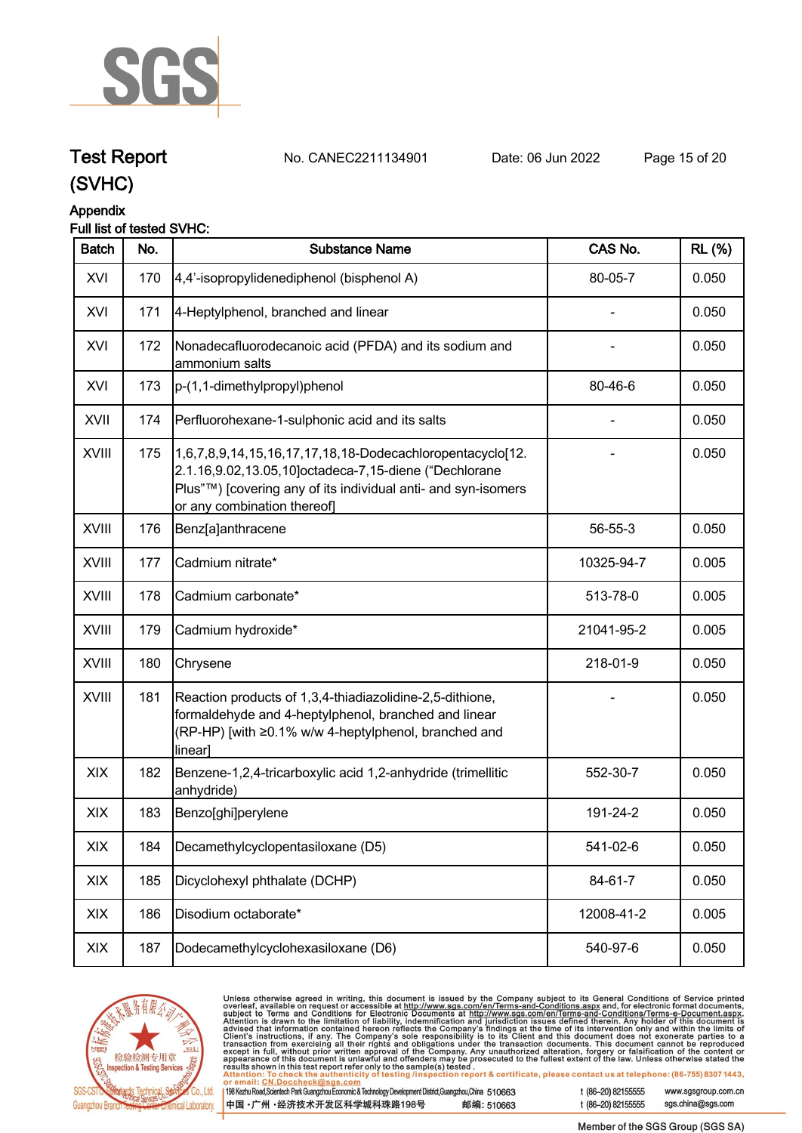

# **Test Report. No. CANEC2211134901 . Date: 06 Jun 2022. Page 15 of 20.**

**(SVHC)**

# **Appendix**

# **Full list of tested SVHC:**

| <b>Batch</b> | No. | <b>Substance Name</b>                                                                                                                                                                                             | CAS No.    | <b>RL</b> (%) |
|--------------|-----|-------------------------------------------------------------------------------------------------------------------------------------------------------------------------------------------------------------------|------------|---------------|
| XVI          | 170 | 4,4'-isopropylidenediphenol (bisphenol A)                                                                                                                                                                         | 80-05-7    | 0.050         |
| XVI          | 171 | 4-Heptylphenol, branched and linear                                                                                                                                                                               |            | 0.050         |
| XVI          | 172 | Nonadecafluorodecanoic acid (PFDA) and its sodium and<br>ammonium salts                                                                                                                                           |            | 0.050         |
| XVI          | 173 | p-(1,1-dimethylpropyl)phenol                                                                                                                                                                                      | 80-46-6    | 0.050         |
| XVII         | 174 | Perfluorohexane-1-sulphonic acid and its salts                                                                                                                                                                    |            | 0.050         |
| <b>XVIII</b> | 175 | 1,6,7,8,9,14,15,16,17,17,18,18-Dodecachloropentacyclo[12.<br>2.1.16,9.02,13.05,10]octadeca-7,15-diene ("Dechlorane<br>Plus"™) [covering any of its individual anti- and syn-isomers<br>or any combination thereof |            | 0.050         |
| <b>XVIII</b> | 176 | Benz[a]anthracene                                                                                                                                                                                                 | 56-55-3    | 0.050         |
| <b>XVIII</b> | 177 | Cadmium nitrate*                                                                                                                                                                                                  | 10325-94-7 | 0.005         |
| XVIII        | 178 | Cadmium carbonate*                                                                                                                                                                                                | 513-78-0   | 0.005         |
| XVIII        | 179 | Cadmium hydroxide*                                                                                                                                                                                                | 21041-95-2 | 0.005         |
| XVIII        | 180 | Chrysene                                                                                                                                                                                                          | 218-01-9   | 0.050         |
| <b>XVIII</b> | 181 | Reaction products of 1,3,4-thiadiazolidine-2,5-dithione,<br>formaldehyde and 4-heptylphenol, branched and linear<br>(RP-HP) [with ≥0.1% w/w 4-heptylphenol, branched and<br>linear]                               |            | 0.050         |
| XIX          | 182 | Benzene-1,2,4-tricarboxylic acid 1,2-anhydride (trimellitic<br>anhydride)                                                                                                                                         | 552-30-7   | 0.050         |
| XIX          | 183 | Benzo[ghi]perylene                                                                                                                                                                                                | 191-24-2   | 0.050         |
| XIX          | 184 | Decamethylcyclopentasiloxane (D5)                                                                                                                                                                                 | 541-02-6   | 0.050         |
| XIX          | 185 | Dicyclohexyl phthalate (DCHP)                                                                                                                                                                                     | 84-61-7    | 0.050         |
| XIX          | 186 | Disodium octaborate*                                                                                                                                                                                              | 12008-41-2 | 0.005         |
| XIX          | 187 | Dodecamethylcyclohexasiloxane (D6)                                                                                                                                                                                | 540-97-6   | 0.050         |



Unless otherwise agreed in writing, this document is issued by the Company subject to its General Conditions of Service printed<br>overleaf, available on request or accessible at http://www.sgs.com/en/Terms-and-Conditions.as t (86-20) 82155555 www.sgsgroup.com.cn

| 198 Kezhu Road,Scientech Park Guangzhou Economic & Technology Development District,Guangzhou,China 510663 |            |
|-----------------------------------------------------------------------------------------------------------|------------|
| 中国 •广州 •经济技术开发区科学城科珠路198号                                                                                 | 邮编: 510663 |

sgs.china@sgs.com t (86-20) 82155555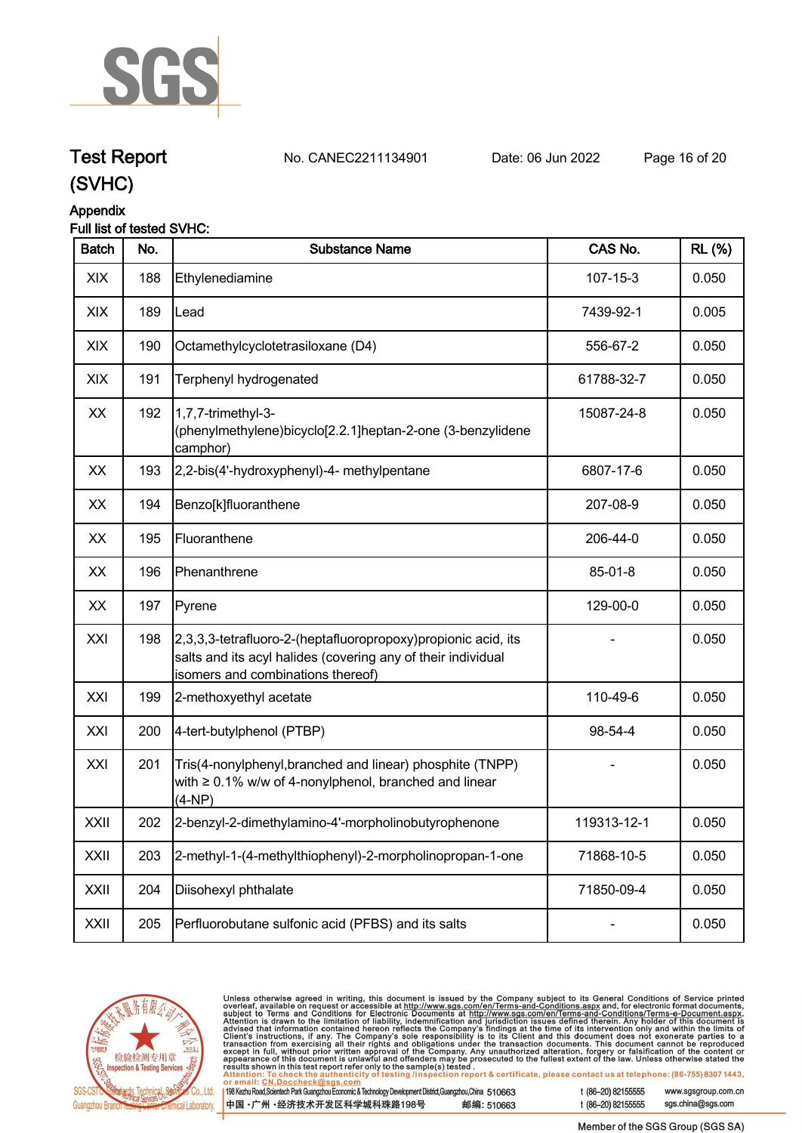

# **Test Report. No. CANEC2211134901 . Date: 06 Jun 2022. Page 16 of 20.**

**(SVHC)**

# **Appendix**

# **Full list of tested SVHC:**

| <b>Batch</b> | No. | <b>Substance Name</b>                                                                                                                                                | CAS No.        | <b>RL</b> (%) |
|--------------|-----|----------------------------------------------------------------------------------------------------------------------------------------------------------------------|----------------|---------------|
| XIX          | 188 | Ethylenediamine                                                                                                                                                      | $107 - 15 - 3$ | 0.050         |
| XIX          | 189 | Lead                                                                                                                                                                 | 7439-92-1      | 0.005         |
| XIX          | 190 | Octamethylcyclotetrasiloxane (D4)                                                                                                                                    | 556-67-2       | 0.050         |
| XIX          | 191 | Terphenyl hydrogenated                                                                                                                                               | 61788-32-7     | 0.050         |
| XX           | 192 | 1,7,7-trimethyl-3-<br>(phenylmethylene)bicyclo[2.2.1]heptan-2-one (3-benzylidene<br>camphor)                                                                         | 15087-24-8     | 0.050         |
| XX           | 193 | 2,2-bis(4'-hydroxyphenyl)-4- methylpentane                                                                                                                           | 6807-17-6      | 0.050         |
| XX           | 194 | Benzo[k]fluoranthene                                                                                                                                                 | 207-08-9       | 0.050         |
| XX           | 195 | Fluoranthene                                                                                                                                                         | 206-44-0       | 0.050         |
| XX           | 196 | Phenanthrene                                                                                                                                                         | 85-01-8        | 0.050         |
| XX           | 197 | Pyrene                                                                                                                                                               | 129-00-0       | 0.050         |
| XXI          | 198 | [2,3,3,3-tetrafluoro-2-(heptafluoropropoxy) propionic acid, its<br>salts and its acyl halides (covering any of their individual<br>isomers and combinations thereof) |                | 0.050         |
| XXI          | 199 | 2-methoxyethyl acetate                                                                                                                                               | 110-49-6       | 0.050         |
| XXI          | 200 | 4-tert-butylphenol (PTBP)                                                                                                                                            | 98-54-4        | 0.050         |
| XXI          | 201 | Tris(4-nonylphenyl, branched and linear) phosphite (TNPP)<br>with $\geq 0.1\%$ w/w of 4-nonylphenol, branched and linear<br>$(4-NP)$                                 |                | 0.050         |
| <b>XXII</b>  | 202 | 2-benzyl-2-dimethylamino-4'-morpholinobutyrophenone                                                                                                                  | 119313-12-1    | 0.050         |
| XXII         | 203 | 2-methyl-1-(4-methylthiophenyl)-2-morpholinopropan-1-one                                                                                                             | 71868-10-5     | 0.050         |
| XXII         | 204 | Diisohexyl phthalate                                                                                                                                                 | 71850-09-4     | 0.050         |
| XXII         | 205 | Perfluorobutane sulfonic acid (PFBS) and its salts                                                                                                                   |                | 0.050         |



Unless otherwise agreed in writing, this document is issued by the Company subject to its General Conditions of Service printed overleaf, available on request or accessible at http://www.sgs.com/en/Terms-and-Conditions.as

198 Kezhu Road, Scientech Park Guangzhou Economic & Technology Development District, Guangzhou, China 510663 邮编: 510663 中国·广州·经济技术开发区科学城科珠路198号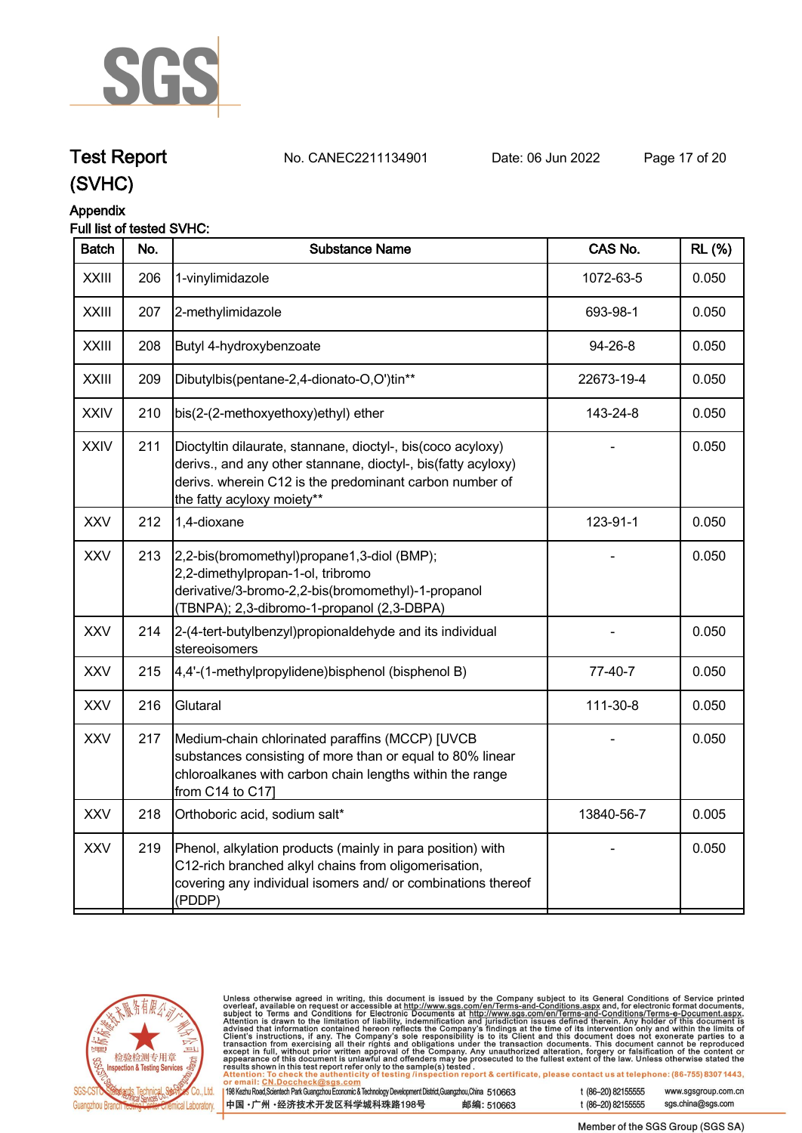

# **Test Report. No. CANEC2211134901 . Date: 06 Jun 2022. Page 17 of 20.**

**(SVHC)**

# **Appendix**

## **Full list of tested SVHC:**

| <b>Batch</b> | No. | <b>Substance Name</b>                                                                                                                                                                                                 | CAS No.    | <b>RL</b> (%) |
|--------------|-----|-----------------------------------------------------------------------------------------------------------------------------------------------------------------------------------------------------------------------|------------|---------------|
| <b>XXIII</b> | 206 | 1-vinylimidazole                                                                                                                                                                                                      | 1072-63-5  | 0.050         |
| <b>XXIII</b> | 207 | 2-methylimidazole                                                                                                                                                                                                     | 693-98-1   | 0.050         |
| <b>XXIII</b> | 208 | Butyl 4-hydroxybenzoate                                                                                                                                                                                               | 94-26-8    | 0.050         |
| <b>XXIII</b> | 209 | Dibutylbis(pentane-2,4-dionato-O,O')tin**                                                                                                                                                                             | 22673-19-4 | 0.050         |
| <b>XXIV</b>  | 210 | bis(2-(2-methoxyethoxy)ethyl) ether                                                                                                                                                                                   | 143-24-8   | 0.050         |
| <b>XXIV</b>  | 211 | Dioctyltin dilaurate, stannane, dioctyl-, bis(coco acyloxy)<br>derivs., and any other stannane, dioctyl-, bis(fatty acyloxy)<br>derivs. wherein C12 is the predominant carbon number of<br>the fatty acyloxy moiety** |            | 0.050         |
| <b>XXV</b>   | 212 | 1,4-dioxane                                                                                                                                                                                                           | 123-91-1   | 0.050         |
| <b>XXV</b>   | 213 | 2,2-bis(bromomethyl)propane1,3-diol (BMP);<br>2,2-dimethylpropan-1-ol, tribromo<br>derivative/3-bromo-2,2-bis(bromomethyl)-1-propanol<br>(TBNPA); 2,3-dibromo-1-propanol (2,3-DBPA)                                   |            | 0.050         |
| <b>XXV</b>   | 214 | 2-(4-tert-butylbenzyl) propionaldehyde and its individual<br>stereoisomers                                                                                                                                            |            | 0.050         |
| <b>XXV</b>   | 215 | 4,4'-(1-methylpropylidene)bisphenol (bisphenol B)                                                                                                                                                                     | 77-40-7    | 0.050         |
| <b>XXV</b>   | 216 | Glutaral                                                                                                                                                                                                              | 111-30-8   | 0.050         |
| <b>XXV</b>   | 217 | Medium-chain chlorinated paraffins (MCCP) [UVCB<br>substances consisting of more than or equal to 80% linear<br>chloroalkanes with carbon chain lengths within the range<br>from C14 to C17]                          |            | 0.050         |
| <b>XXV</b>   | 218 | Orthoboric acid, sodium salt*                                                                                                                                                                                         | 13840-56-7 | 0.005         |
| <b>XXV</b>   | 219 | Phenol, alkylation products (mainly in para position) with<br>C12-rich branched alkyl chains from oligomerisation,<br>covering any individual isomers and/ or combinations thereof<br>(PDDP)                          |            | 0.050         |
|              |     |                                                                                                                                                                                                                       |            |               |



Unless otherwise agreed in writing, this document is issued by the Company subject to its General Conditions of Service printed overleaf, available on request or accessible at http://www.sgs.com/en/Terms-and-Conditions.as

198 Kezhu Road, Scientech Park Guangzhou Economic & Technology Development District, Guangzhou, China 510663 中国·广州·经济技术开发区科学城科珠路198号 邮编: 510663 t (86-20) 82155555

t (86-20) 82155555

www.sgsgroup.com.cn sgs.china@sgs.com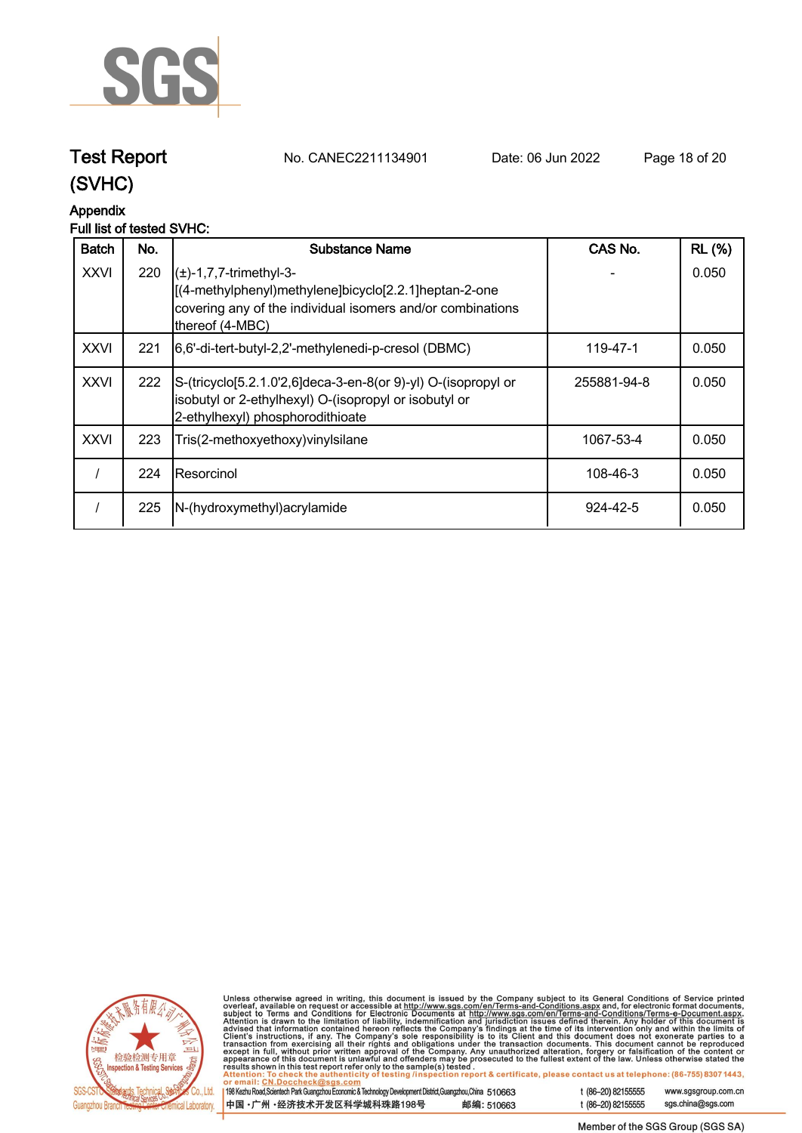

**Test Report. No. CANEC2211134901 . Date: 06 Jun 2022. Page 18 of 20.**

# **(SVHC)**

# **Appendix**

# **Full list of tested SVHC:**

| <b>Batch</b> | No. | Substance Name                                                                                                                                                                     | CAS No.     | <b>RL (%)</b> |
|--------------|-----|------------------------------------------------------------------------------------------------------------------------------------------------------------------------------------|-------------|---------------|
| <b>XXVI</b>  | 220 | $\left( \pm \right)$ -1,7,7-trimethyl-3-<br>[(4-methylphenyl)methylene]bicyclo[2.2.1]heptan-2-one<br>covering any of the individual isomers and/or combinations<br>thereof (4-MBC) |             | 0.050         |
| <b>XXVI</b>  | 221 | [6,6'-di-tert-butyl-2,2'-methylenedi-p-cresol (DBMC)                                                                                                                               | 119-47-1    | 0.050         |
| <b>XXVI</b>  | 222 | S-(tricyclo[5.2.1.0'2,6]deca-3-en-8(or 9)-yl) O-(isopropyl or<br>isobutyl or 2-ethylhexyl) O-(isopropyl or isobutyl or<br>2-ethylhexyl) phosphorodithioate                         | 255881-94-8 | 0.050         |
| <b>XXVI</b>  | 223 | Tris(2-methoxyethoxy) vinyl silane                                                                                                                                                 | 1067-53-4   | 0.050         |
|              | 224 | IResorcinol                                                                                                                                                                        | 108-46-3    | 0.050         |
|              | 225 | N-(hydroxymethyl) acrylamide                                                                                                                                                       | 924-42-5    | 0.050         |



Unless otherwise agreed in writing, this document is issued by the Company subject to its General Conditions of Service printed<br>overleaf, available on request or accessible at http://www.sgs.com/en/Terms-and-Conditions.as

| 198 Kezhu Road, Scientech Park Guangzhou Economic & Technology Development District, Guangzhou, China 510663 |            |
|--------------------------------------------------------------------------------------------------------------|------------|
| 中国 •广州 •经济技术开发区科学城科珠路198号                                                                                    | 邮编: 510663 |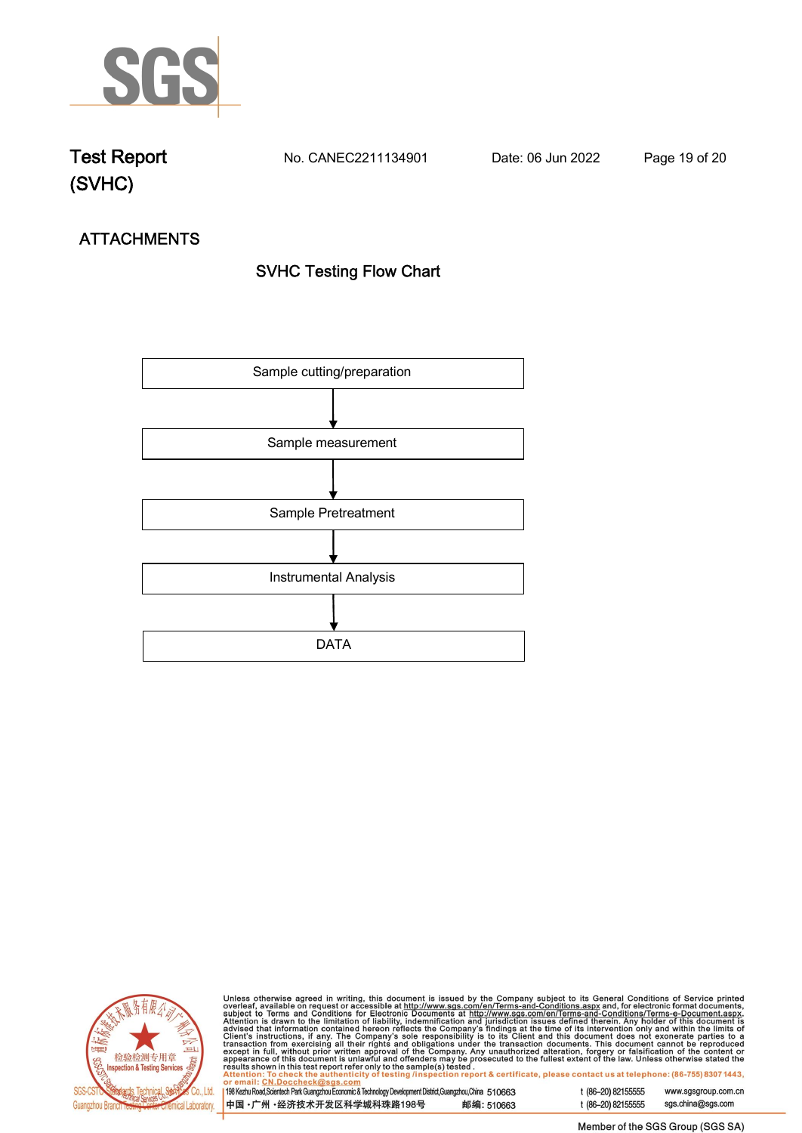

**Test Report. No. CANEC2211134901 . Date: 06 Jun 2022. Page 19 of 20.**

# **ATTACHMENTS SVHC Testing Flow Chart**





Unless otherwise agreed in writing, this document is issued by the Company subject to its General Conditions of Service printed overleaf, available on request or accessible at http://www.sgs.com/en/Terms-and-Conditions.as

198 Kezhu Road, Scientech Park Guangzhou Economic & Technology Development District, Guangzhou, China 510663 中国·广州·经济技术开发区科学城科珠路198号 邮编: 510663

t (86-20) 82155555 sgs.china@sgs.com

www.sgsgroup.com.cn

t (86-20) 82155555